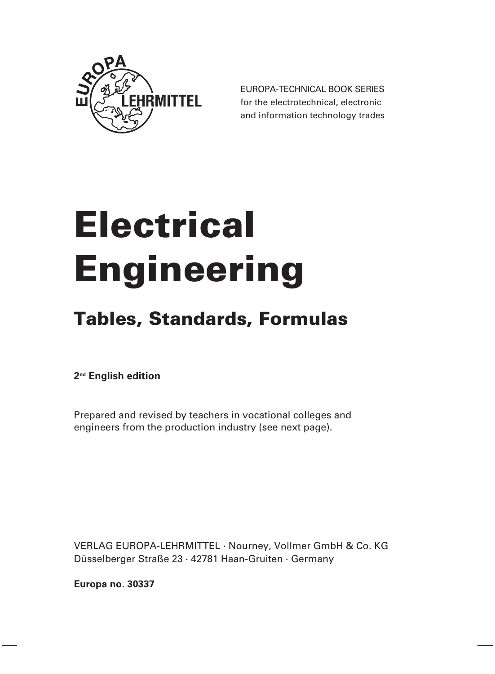

EUROPA-TECHNICAL BOOK SERIES for the electrotechnical, electronic and information technology trades

# **Electrical Engineering**

## **Tables, Standards, Formulas**

**2nd English edition**

Prepared and revised by teachers in vocational colleges and engineers from the production industry (see next page).

VERLAG EUROPA-LEHRMITTEL · Nourney, Vollmer GmbH & Co. KG Düsselberger Straße 23 · 42781 Haan-Gruiten · Germany

**Europa no. 30337**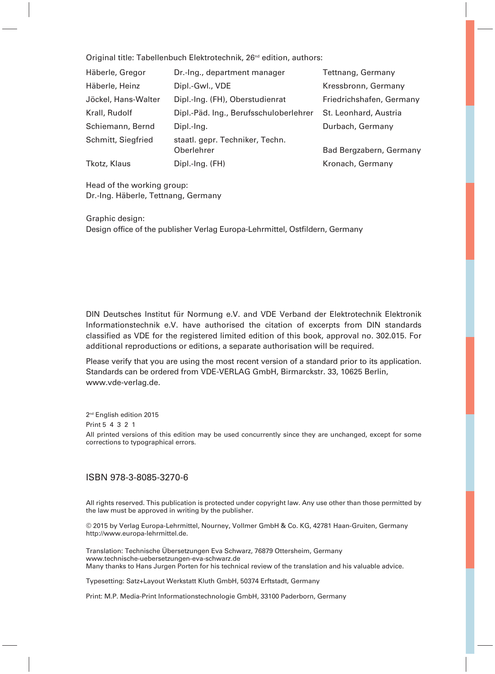Original title: Tabellenbuch Elektrotechnik, 26<sup>nd</sup> edition, authors:

| Häberle, Gregor     | Dr.-Ing., department manager                  | Tettnang, Germany        |
|---------------------|-----------------------------------------------|--------------------------|
| Häberle, Heinz      | Dipl.-Gwl., VDE                               | Kressbronn, Germany      |
| Jöckel, Hans-Walter | Dipl.-Ing. (FH), Oberstudienrat               | Friedrichshafen, Germany |
| Krall, Rudolf       | Dipl.-Päd. Ing., Berufsschuloberlehrer        | St. Leonhard, Austria    |
| Schiemann, Bernd    | Dipl.-Ing.                                    | Durbach, Germany         |
| Schmitt, Siegfried  | staatl. gepr. Techniker, Techn.<br>Oberlehrer | Bad Bergzabern, Germany  |
| Tkotz, Klaus        | Dipl.-Ing. (FH)                               | Kronach, Germany         |

Head of the working group: Dr.-Ing. Häberle, Tettnang, Germany

Graphic design: Design office of the publisher Verlag Europa-Lehrmittel, Ostfildern, Germany

DIN Deutsches Institut für Normung e.V. and VDE Verband der Elektrotechnik Elektronik Informationstechnik e.V. have authorised the citation of excerpts from DIN standards classified as VDE for the registered limited edition of this book, approval no. 302.015. For additional reproductions or editions, a separate authorisation will be required.

Please verify that you are using the most recent version of a standard prior to its application. Standards can be ordered from VDE-VERLAG GmbH, Birmarckstr. 33, 10625 Berlin, www.vde-verlag.de.

2<sup>nd</sup> English edition 2015 Print 5 4 3 2 1 All printed versions of this edition may be used concurrently since they are unchanged, except for some corrections to typographical errors.

#### ISBN 978-3-8085-3270-6

All rights reserved. This publication is protected under copyright law. Any use other than those permitted by the law must be approved in writing by the publisher.

© 2015 by Verlag Europa-Lehrmittel, Nourney, Vollmer GmbH & Co. KG, 42781 Haan-Gruiten, Germany http://www.europa-lehrmittel.de.

Translation: Technische Übersetzungen Eva Schwarz, 76879 Ottersheim, Germany www.technische-uebersetzungen-eva-schwarz.de Many thanks to Hans Jurgen Porten for his technical review of the translation and his valuable advice.

Typesetting: Satz+Layout Werkstatt Kluth GmbH, 50374 Erftstadt, Germany

Print: M.P. Media-Print Informationstechnologie GmbH, 33100 Paderborn, Germany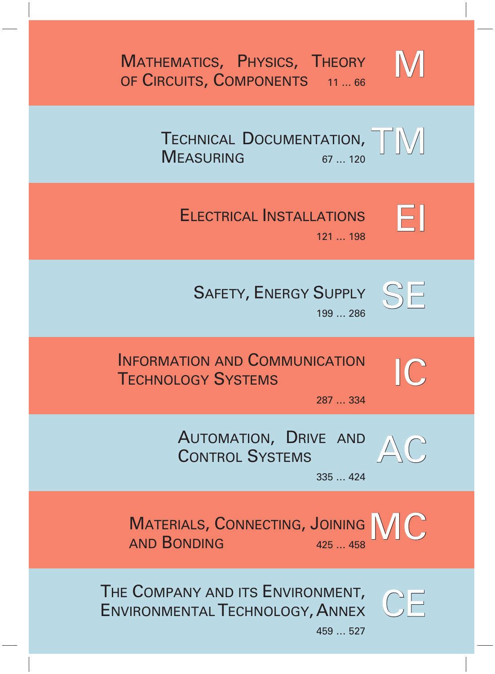M

TECHNICAL DOCUMENTATION, MEASURING 67 ... 120 TM

# ELECTRICAL INSTALLATIONS



121 … 198





199 … 286

### INFORMATION AND COMMUNICATION TECHNOLOGY SYSTEMS



287 … 334

AUTOMATION, DRIVE AND CONTROL SYSTEMS



335 … 424

MATERIALS, CONNECTING, JOINING AND BONDING 425 458

THE COMPANY AND ITS ENVIRONMENT, ENVIRONMENTAL TECHNOLOGY, ANNEX



 $\mathbb C$ 

459 … 527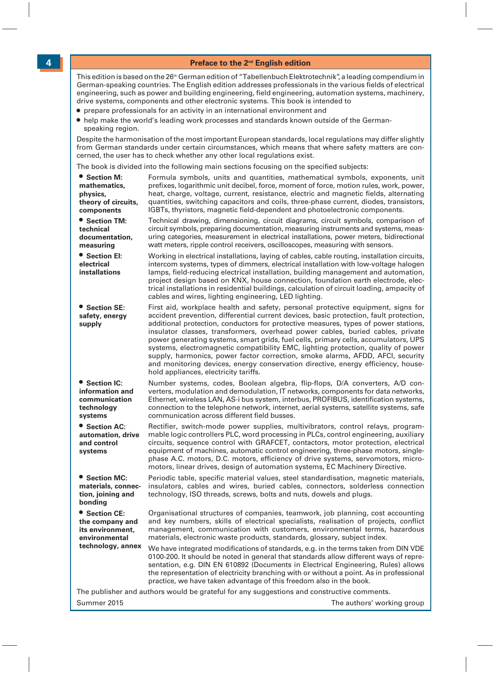#### **Preface to the 2nd English edition**

This edition is based on the 26<sup>th</sup> German edition of "Tabellenbuch Elektrotechnik", a leading compendium in German-speaking countries. The English edition addresses professionals in the various fields of electrical engineering, such as power and building engineering, field engineering, automation systems, machinery, drive systems, components and other electronic systems. This book is intended to

- **•** prepare professionals for an activity in an international environment and
- **•** help make the world's leading work processes and standards known outside of the German speaking region.

Despite the harmonisation of the most important European standards, local regulations may differ slightly from German standards under certain circumstances, which means that where safety matters are concerned, the user has to check whether any other local regulations exist.

The book is divided into the following main sections focusing on the specified subjects:

| • Section M:<br>mathematics,<br>physics,<br>theory of circuits,<br>components | Formula symbols, units and quantities, mathematical symbols, exponents, unit<br>prefixes, logarithmic unit decibel, force, moment of force, motion rules, work, power,<br>heat, charge, voltage, current, resistance, electric and magnetic fields, alternating<br>quantities, switching capacitors and coils, three-phase current, diodes, transistors,<br>IGBTs, thyristors, magnetic field-dependent and photoelectronic components.                                                                                                                                                                                                                                                                                                        |
|-------------------------------------------------------------------------------|------------------------------------------------------------------------------------------------------------------------------------------------------------------------------------------------------------------------------------------------------------------------------------------------------------------------------------------------------------------------------------------------------------------------------------------------------------------------------------------------------------------------------------------------------------------------------------------------------------------------------------------------------------------------------------------------------------------------------------------------|
| <b>• Section TM:</b><br>technical<br>documentation,<br>measuring              | Technical drawing, dimensioning, circuit diagrams, circuit symbols, comparison of<br>circuit symbols, preparing documentation, measuring instruments and systems, meas-<br>uring categories, measurement in electrical installations, power meters, bidirectional<br>watt meters, ripple control receivers, oscilloscopes, measuring with sensors.                                                                                                                                                                                                                                                                                                                                                                                             |
| • Section El:<br>electrical<br>installations                                  | Working in electrical installations, laying of cables, cable routing, installation circuits,<br>intercom systems, types of dimmers, electrical installation with low-voltage halogen<br>lamps, field-reducing electrical installation, building management and automation,<br>project design based on KNX, house connection, foundation earth electrode, elec-<br>trical installations in residential buildings, calculation of circuit loading, ampacity of<br>cables and wires, lighting engineering, LED lighting.                                                                                                                                                                                                                          |
| ● Section SE:<br>safety, energy<br>supply                                     | First aid, workplace health and safety, personal protective equipment, signs for<br>accident prevention, differential current devices, basic protection, fault protection,<br>additional protection, conductors for protective measures, types of power stations,<br>insulator classes, transformers, overhead power cables, buried cables, private<br>power generating systems, smart grids, fuel cells, primary cells, accumulators, UPS<br>systems, electromagnetic compatibility EMC, lighting protection, quality of power<br>supply, harmonics, power factor correction, smoke alarms, AFDD, AFCI, security<br>and monitoring devices, energy conservation directive, energy efficiency, house-<br>hold appliances, electricity tariffs. |
| • Section IC:<br>information and<br>communication<br>technology<br>systems    | Number systems, codes, Boolean algebra, flip-flops, D/A converters, A/D con-<br>verters, modulation and demodulation, IT networks, components for data networks,<br>Ethernet, wireless LAN, AS-i bus system, interbus, PROFIBUS, identification systems,<br>connection to the telephone network, internet, aerial systems, satellite systems, safe<br>communication across different field busses.                                                                                                                                                                                                                                                                                                                                             |
| ● Section AC:<br>automation, drive<br>and control<br>systems                  | Rectifier, switch-mode power supplies, multivibrators, control relays, program-<br>mable logic controllers PLC, word processing in PLCs, control engineering, auxiliary<br>circuits, sequence control with GRAFCET, contactors, motor protection, electrical<br>equipment of machines, automatic control engineering, three-phase motors, single-<br>phase A.C. motors, D.C. motors, efficiency of drive systems, servomotors, micro-<br>motors, linear drives, design of automation systems, EC Machinery Directive.                                                                                                                                                                                                                          |
| • Section MC:<br>materials, connec-<br>tion, joining and<br>bonding           | Periodic table, specific material values, steel standardisation, magnetic materials,<br>insulators, cables and wires, buried cables, connectors, solderless connection<br>technology, ISO threads, screws, bolts and nuts, dowels and plugs.                                                                                                                                                                                                                                                                                                                                                                                                                                                                                                   |
| ● Section CE:<br>the company and<br>its environment.<br>environmental         | Organisational structures of companies, teamwork, job planning, cost accounting<br>and key numbers, skills of electrical specialists, realisation of projects, conflict<br>management, communication with customers, environmental terms, hazardous<br>materials, electronic waste products, standards, glossary, subject index.                                                                                                                                                                                                                                                                                                                                                                                                               |
| technology, annex                                                             | We have integrated modifications of standards, e.g. in the terms taken from DIN VDE<br>0100-200. It should be noted in general that standards allow different ways of repre-<br>sentation, e.g. DIN EN 610892 (Documents in Electrical Engineering, Rules) allows<br>the representation of electricity branching with or without a point. As in professional<br>practice, we have taken advantage of this freedom also in the book.                                                                                                                                                                                                                                                                                                            |
|                                                                               | The publisher and authors would be grateful for any suggestions and constructive comments.                                                                                                                                                                                                                                                                                                                                                                                                                                                                                                                                                                                                                                                     |

Summer 2015 Summer 2015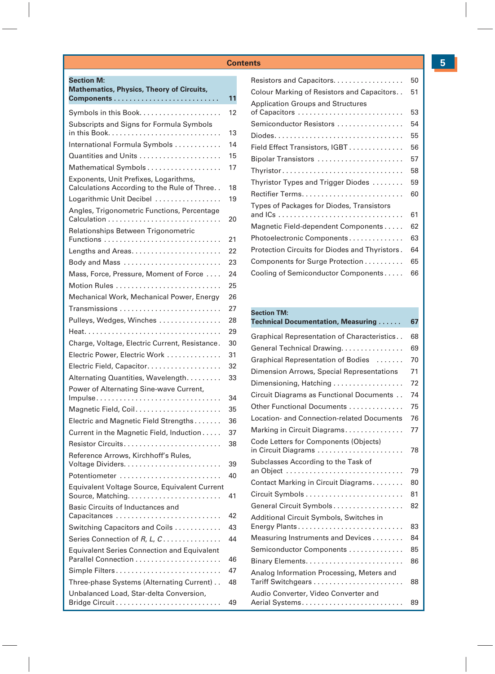**Section M:** 

| <b>Mathematics, Physics, Theory of Circuits,</b>                                     |    |
|--------------------------------------------------------------------------------------|----|
|                                                                                      | 11 |
| Symbols in this Book                                                                 | 12 |
| Subscripts and Signs for Formula Symbols                                             |    |
|                                                                                      | 13 |
| International Formula Symbols                                                        | 14 |
|                                                                                      | 15 |
| Mathematical Symbols                                                                 | 17 |
| Exponents, Unit Prefixes, Logarithms,<br>Calculations According to the Rule of Three | 18 |
| Logarithmic Unit Decibel                                                             | 19 |
| Angles, Trigonometric Functions, Percentage                                          | 20 |
| Relationships Between Trigonometric                                                  | 21 |
|                                                                                      | 22 |
| Body and Mass                                                                        | 23 |
| Mass, Force, Pressure, Moment of Force                                               | 24 |
| Motion Rules                                                                         | 25 |
| Mechanical Work, Mechanical Power, Energy                                            | 26 |
| Transmissions                                                                        | 27 |
| Pulleys, Wedges, Winches                                                             | 28 |
|                                                                                      | 29 |
| Charge, Voltage, Electric Current, Resistance.                                       | 30 |
| Electric Power, Electric Work                                                        | 31 |
| Electric Field, Capacitor.                                                           | 32 |
| Alternating Quantities, Wavelength.                                                  | 33 |
| Power of Alternating Sine-wave Current,                                              | 34 |
|                                                                                      | 35 |
| Electric and Magnetic Field Strengths                                                | 36 |
| Current in the Magnetic Field, Induction                                             | 37 |
| Resistor Circuits                                                                    | 38 |
| Reference Arrows, Kirchhoff's Rules,                                                 |    |
|                                                                                      | 39 |
| Potentiometer                                                                        | 40 |
| Equivalent Voltage Source, Equivalent Current                                        | 41 |
| Basic Circuits of Inductances and<br>Capacitances                                    | 42 |
| Switching Capacitors and Coils                                                       | 43 |
| Series Connection of R, L, C                                                         | 44 |
| <b>Equivalent Series Connection and Equivalent</b>                                   | 46 |
| Simple Filters                                                                       | 47 |
| Three-phase Systems (Alternating Current)                                            | 48 |
| Unbalanced Load, Star-delta Conversion,                                              | 49 |
|                                                                                      |    |

| Resistors and Capacitors.                      | 50 |
|------------------------------------------------|----|
| Colour Marking of Resistors and Capacitors     | 51 |
| <b>Application Groups and Structures</b>       |    |
|                                                | 53 |
| Semiconductor Resistors                        | 54 |
|                                                | 55 |
| Field Effect Transistors, IGBT                 | 56 |
| Bipolar Transistors                            | 57 |
| Thyristor                                      | 58 |
| Thyristor Types and Trigger Diodes             | 59 |
|                                                | 60 |
| Types of Packages for Diodes, Transistors      |    |
|                                                | 61 |
| Magnetic Field-dependent Components            | 62 |
| Photoelectronic Components                     | 63 |
| Protection Circuits for Diodes and Thyristors. | 64 |
| Components for Surge Protection                | 65 |
| Cooling of Semiconductor Components            | 66 |

#### **Section TM:**

| Technical Documentation, Measuring                           | 67 |
|--------------------------------------------------------------|----|
| Graphical Representation of Characteristics                  | 68 |
| General Technical Drawing                                    | 69 |
| Graphical Representation of Bodies                           | 70 |
| Dimension Arrows, Special Representations                    | 71 |
| Dimensioning, Hatching                                       | 72 |
| Circuit Diagrams as Functional Documents                     | 74 |
| Other Functional Documents                                   | 75 |
| Location- and Connection-related Documents                   | 76 |
| Marking in Circuit Diagrams                                  | 77 |
| Code Letters for Components (Objects)<br>in Circuit Diagrams | 78 |
| Subclasses According to the Task of                          | 79 |
| Contact Marking in Circuit Diagrams                          | 80 |
|                                                              | 81 |
| General Circuit Symbols                                      | 82 |
| Additional Circuit Symbols, Switches in<br>Energy Plants     | 83 |
| Measuring Instruments and Devices                            | 84 |
| Semiconductor Components                                     | 85 |
|                                                              | 86 |
| Analog Information Processing, Meters and                    | 88 |
| Audio Converter, Video Converter and                         | 89 |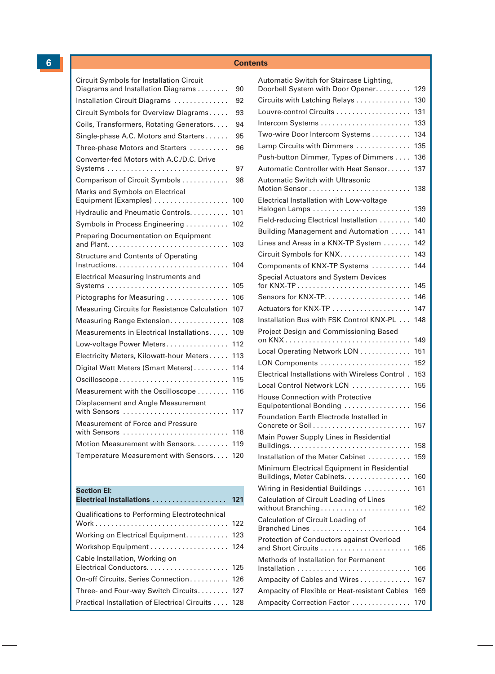| Circuit Symbols for Installation Circuit<br>Diagrams and Installation Diagrams | 90  |
|--------------------------------------------------------------------------------|-----|
| Installation Circuit Diagrams                                                  | 92  |
| Circuit Symbols for Overview Diagrams                                          | 93  |
| Coils, Transformers, Rotating Generators                                       | 94  |
| Single-phase A.C. Motors and Starters                                          | 95  |
| Three-phase Motors and Starters                                                | 96  |
| Converter-fed Motors with A.C./D.C. Drive                                      | 97  |
| Comparison of Circuit Symbols                                                  | 98  |
| Marks and Symbols on Electrical<br>Equipment (Examples)                        | 100 |
| Hydraulic and Pneumatic Controls                                               | 101 |
| Symbols in Process Engineering                                                 | 102 |
| <b>Preparing Documentation on Equipment</b>                                    | 103 |
| <b>Structure and Contents of Operating</b>                                     | 104 |
| Electrical Measuring Instruments and                                           | 105 |
| Pictographs for Measuring                                                      | 106 |
| Measuring Circuits for Resistance Calculation                                  | 107 |
| Measuring Range Extension.                                                     | 108 |
| Measurements in Electrical Installations                                       | 109 |
| Low-voltage Power Meters                                                       | 112 |
| Electricity Meters, Kilowatt-hour Meters                                       | 113 |
| Digital Watt Meters (Smart Meters)                                             | 114 |
| Oscilloscope                                                                   | 115 |
| Measurement with the Oscilloscope                                              | 116 |
| Displacement and Angle Measurement<br>with Sensors                             | 117 |
| Measurement of Force and Pressure<br>with Sensors                              | 118 |
| Motion Measurement with Sensors.                                               | 119 |
| Temperature Measurement with Sensors                                           | 120 |
|                                                                                |     |

#### **Section EI:**

| Electrical Installations |  |  |  |  |  |  |  |  |  | 121 |  |
|--------------------------|--|--|--|--|--|--|--|--|--|-----|--|
|                          |  |  |  |  |  |  |  |  |  |     |  |

| Qualifications to Performing Electrotechnical     |  |
|---------------------------------------------------|--|
| Working on Electrical Equipment 123               |  |
|                                                   |  |
| Cable Installation, Working on                    |  |
| On-off Circuits, Series Connection 126            |  |
| Three- and Four-way Switch Circuits 127           |  |
| Practical Installation of Electrical Circuits 128 |  |
|                                                   |  |

| Automatic Switch for Staircase Lighting,                                  |            |
|---------------------------------------------------------------------------|------------|
| Doorbell System with Door Opener.                                         | 129<br>130 |
| Circuits with Latching Relays                                             |            |
| Louvre-control Circuits                                                   | 131        |
|                                                                           | 133<br>134 |
| Two-wire Door Intercom Systems                                            |            |
| Lamp Circuits with Dimmers                                                | 135        |
| Push-button Dimmer, Types of Dimmers                                      | 136        |
| Automatic Controller with Heat Sensor                                     | 137        |
| Automatic Switch with Ultrasonic                                          | 138        |
| Electrical Installation with Low-voltage<br>Halogen Lamps                 | 139        |
| Field-reducing Electrical Installation                                    | 140        |
| Building Management and Automation                                        | 141        |
| Lines and Areas in a KNX-TP System                                        | 142        |
| Circuit Symbols for KNX                                                   | 143        |
| Components of KNX-TP Systems                                              | 144        |
| Special Actuators and System Devices                                      | 145        |
|                                                                           | 146        |
|                                                                           | 147        |
| Installation Bus with FSK Control KNX-PL                                  | 148        |
| Project Design and Commissioning Based                                    |            |
|                                                                           | 149        |
| Local Operating Network LON                                               | 151        |
| LON Components                                                            | 152        |
| Electrical Installations with Wireless Control.                           | 153        |
| Local Control Network LCN                                                 | 155        |
| House Connection with Protective<br>Equipotentional Bonding               | 156        |
| Foundation Earth Electrode Installed in<br>Concrete or Soil               | 157        |
| Main Power Supply Lines in Residential                                    |            |
|                                                                           | 158        |
| Installation of the Meter Cabinet                                         | 159        |
| Minimum Electrical Equipment in Residential<br>Buildings, Meter Cabinets. | 160        |
| Wiring in Residential Buildings                                           | 161        |
| Calculation of Circuit Loading of Lines                                   |            |
|                                                                           | 162        |
| Calculation of Circuit Loading of<br>Branched Lines                       | 164        |
| Protection of Conductors against Overload                                 | 165        |
| Methods of Installation for Permanent                                     | 166        |
| Ampacity of Cables and Wires                                              | 167        |
| Ampacity of Flexible or Heat-resistant Cables                             | 169        |
| Ampacity Correction Factor                                                | 170        |
|                                                                           |            |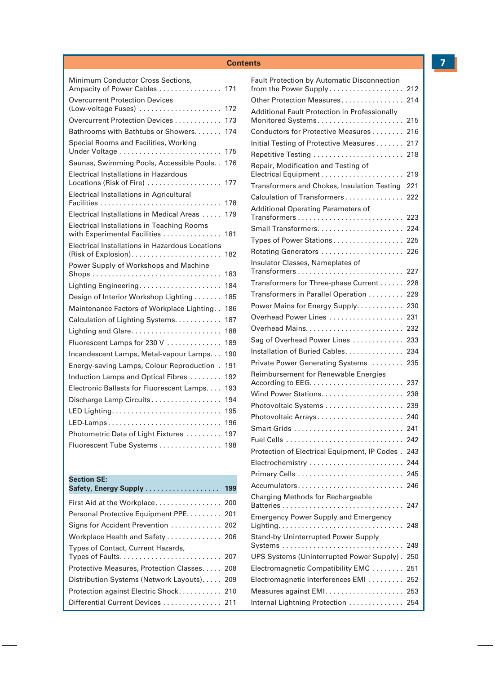| Minimum Conductor Cross Sections,<br>Ampacity of Power Cables                     | 171 |
|-----------------------------------------------------------------------------------|-----|
| <b>Overcurrent Protection Devices</b><br>(Low-voltage Fuses)                      | 172 |
| Overcurrent Protection Devices                                                    | 173 |
| Bathrooms with Bathtubs or Showers                                                | 174 |
| Special Rooms and Facilities, Working<br>Under Voltage                            | 175 |
| Saunas, Swimming Pools, Accessible Pools                                          | 176 |
| Electrical Installations in Hazardous<br>Locations (Risk of Fire)                 | 177 |
| Electrical Installations in Agricultural                                          |     |
|                                                                                   | 178 |
| Electrical Installations in Medical Areas                                         | 179 |
| <b>Electrical Installations in Teaching Rooms</b><br>with Experimental Facilities | 181 |
| Electrical Installations in Hazardous Locations                                   | 182 |
| Power Supply of Workshops and Machine                                             | 183 |
| Lighting Engineering                                                              | 184 |
| Design of Interior Workshop Lighting                                              | 185 |
| Maintenance Factors of Workplace Lighting                                         | 186 |
| Calculation of Lighting Systems.                                                  | 187 |
| Lighting and Glare                                                                | 188 |
| Fluorescent Lamps for 230 V                                                       | 189 |
| Incandescent Lamps, Metal-vapour Lamps                                            | 190 |
| Energy-saving Lamps, Colour Reproduction.                                         | 191 |
| Induction Lamps and Optical Fibres                                                | 192 |
| Electronic Ballasts for Fluorescent Lamps.                                        | 193 |
| Discharge Lamp Circuits                                                           | 194 |
| LED Lighting                                                                      | 195 |
| LED-Lamps                                                                         | 196 |
| Photometric Data of Light Fixtures                                                | 197 |
| Fluorescent Tube Systems                                                          | 198 |

#### **Section SE:**

| Safety, Energy Supply  199                  |  |
|---------------------------------------------|--|
| First Aid at the Workplace 200              |  |
| Personal Protective Equipment PPE 201       |  |
| Signs for Accident Prevention  202          |  |
| Workplace Health and Safety  206            |  |
| Types of Contact, Current Hazards,          |  |
| Protective Measures, Protection Classes 208 |  |
| Distribution Systems (Network Layouts) 209  |  |
| Protection against Electric Shock 210       |  |
| Differential Current Devices  211           |  |

| <b>Fault Protection by Automatic Disconnection</b><br>from the Power Supply                               | 212 |
|-----------------------------------------------------------------------------------------------------------|-----|
| Other Protection Measures                                                                                 | 214 |
| Additional Fault Protection in Professionally                                                             |     |
| Monitored Systems                                                                                         | 215 |
| Conductors for Protective Measures                                                                        | 216 |
| Initial Testing of Protective Measures                                                                    | 217 |
| Repetitive Testing                                                                                        | 218 |
| Repair, Modification and Testing of                                                                       | 219 |
| Transformers and Chokes, Insulation Testing                                                               | 221 |
| Calculation of Transformers                                                                               | 222 |
| Additional Operating Parameters of                                                                        | 223 |
| Small Transformers                                                                                        | 224 |
| Types of Power Stations                                                                                   | 225 |
| Rotating Generators                                                                                       | 226 |
| Insulator Classes, Nameplates of                                                                          | 227 |
| Transformers for Three-phase Current                                                                      | 228 |
| Transformers in Parallel Operation                                                                        | 229 |
| Power Mains for Energy Supply.                                                                            | 230 |
| Overhead Power Lines                                                                                      | 231 |
|                                                                                                           | 232 |
| Sag of Overhead Power Lines                                                                               | 233 |
| Installation of Buried Cables.                                                                            | 234 |
| Private Power Generating Systems                                                                          | 235 |
| Reimbursement for Renewable Energies<br>According to EEG. $\dots\dots\dots\dots\dots\dots\dots\dots\dots$ | 237 |
|                                                                                                           | 238 |
| Photovoltaic Systems                                                                                      | 239 |
| Photovoltaic Arrays                                                                                       | 240 |
| Smart Grids                                                                                               | 241 |
|                                                                                                           | 242 |
| Protection of Electrical Equipment, IP Codes.                                                             | 243 |
| Electrochemistry                                                                                          | 244 |
|                                                                                                           | 245 |
| Accumulators                                                                                              | 246 |
| Charging Methods for Rechargeable                                                                         | 247 |
| <b>Emergency Power Supply and Emergency</b>                                                               |     |
|                                                                                                           | 248 |
| <b>Stand-by Uninterrupted Power Supply</b><br>Systems                                                     | 249 |
| UPS Systems (Uninterrupted Power Supply).                                                                 | 250 |
| Electromagnetic Compatibility EMC                                                                         | 251 |
| Electromagnetic Interferences EMI                                                                         | 252 |
| Measures against EMI.                                                                                     | 253 |
| Internal Lightning Protection                                                                             | 254 |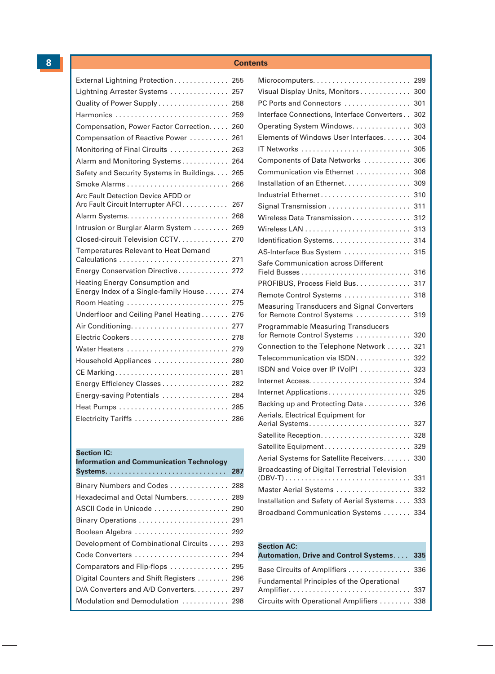| External Lightning Protection            | 255 |
|------------------------------------------|-----|
| Lightning Arrester Systems               | 257 |
| Quality of Power Supply                  | 258 |
| Harmonics                                | 259 |
| Compensation, Power Factor Correction.   | 260 |
| Compensation of Reactive Power           | 261 |
| Monitoring of Final Circuits             | 263 |
| Alarm and Monitoring Systems             | 264 |
| Safety and Security Systems in Buildings | 265 |
|                                          | 266 |
| Arc Fault Detection Device AFDD or       |     |
| Arc Fault Circuit Interrupter AFCI       | 267 |
|                                          | 268 |
| Intrusion or Burglar Alarm System        | 269 |
| Closed-circuit Television CCTV.          | 270 |
| Temperatures Relevant to Heat Demand     | 271 |
| Energy Conservation Directive            | 272 |
| Heating Energy Consumption and           |     |
| Energy Index of a Single-family House    | 274 |
| Room Heating                             | 275 |
| Underfloor and Ceiling Panel Heating     | 276 |
|                                          | 277 |
|                                          | 278 |
| Water Heaters                            | 279 |
| Household Appliances                     | 280 |
| CE Marking                               | 281 |
| Energy Efficiency Classes                | 282 |
| Energy-saving Potentials                 | 284 |
|                                          | 285 |
| Electricity Tariffs                      | 286 |

#### **Section IC:**

| <b>Information and Communication Technology</b> |  |
|-------------------------------------------------|--|
|                                                 |  |
| Binary Numbers and Codes  288                   |  |
| Hexadecimal and Octal Numbers 289               |  |
| ASCII Code in Unicode  290                      |  |
| Binary Operations  291                          |  |
| Boolean Algebra  292                            |  |
| Development of Combinational Circuits 293       |  |
| Code Converters  294                            |  |
| Comparators and Flip-flops  295                 |  |
| Digital Counters and Shift Registers  296       |  |
| D/A Converters and A/D Converters. 297          |  |
| Modulation and Demodulation  298                |  |
|                                                 |  |

|                                                                         | 299 |
|-------------------------------------------------------------------------|-----|
| Visual Display Units, Monitors                                          | 300 |
| PC Ports and Connectors                                                 | 301 |
| Interface Connections, Interface Converters                             | 302 |
| Operating System Windows.                                               | 303 |
| Elements of Windows User Interfaces                                     | 304 |
|                                                                         | 305 |
| Components of Data Networks                                             | 306 |
| Communication via Ethernet                                              | 308 |
| Installation of an Ethernet.                                            | 309 |
| Industrial Ethernet                                                     | 310 |
| Signal Transmission                                                     | 311 |
| Wireless Data Transmission                                              | 312 |
|                                                                         | 313 |
|                                                                         | 314 |
| AS-Interface Bus System                                                 | 315 |
| Safe Communication across Different                                     | 316 |
| PROFIBUS, Process Field Bus.                                            | 317 |
| Remote Control Systems                                                  | 318 |
| <b>Measuring Transducers and Signal Converters</b>                      |     |
|                                                                         | 319 |
| for Remote Control Systems<br><b>Programmable Measuring Transducers</b> |     |
| for Remote Control Systems                                              | 320 |
| Connection to the Telephone Network                                     | 321 |
| Telecommunication via ISDN                                              | 322 |
| ISDN and Voice over IP (VoIP)                                           | 323 |
|                                                                         | 324 |
| Internet Applications                                                   | 325 |
| Backing up and Protecting Data                                          | 326 |
| Aerials, Electrical Equipment for<br>Aerial Systems                     | 327 |
|                                                                         | 328 |
|                                                                         | 329 |
| Aerial Systems for Satellite Receivers                                  | 330 |
| Broadcasting of Digital Terrestrial Television                          | 331 |
| Master Aerial Systems                                                   | 332 |
| Installation and Safety of Aerial Systems                               | 333 |

#### **Section AC:**

| Automation, Drive and Control Systems 335        |  |
|--------------------------------------------------|--|
| Base Circuits of Amplifiers  336                 |  |
| <b>Fundamental Principles of the Operational</b> |  |
| Circuits with Operational Amplifiers  338        |  |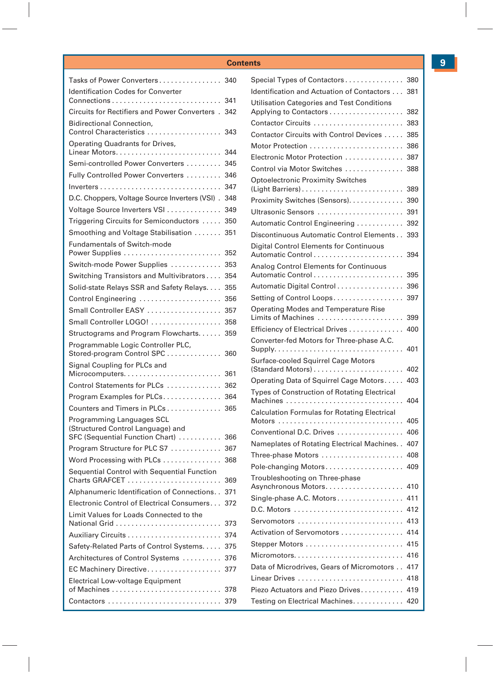| Tasks of Power Converters                                                                                          | 340        |
|--------------------------------------------------------------------------------------------------------------------|------------|
| <b>Identification Codes for Converter</b><br>$Connections \ldots \ldots \ldots \ldots \ldots \ldots \ldots \ldots$ | 341        |
| Circuits for Rectifiers and Power Converters,                                                                      | 342        |
| <b>Bidirectional Connection.</b>                                                                                   |            |
| Control Characteristics                                                                                            | 343        |
| Operating Quadrants for Drives,                                                                                    |            |
|                                                                                                                    | 344        |
| Semi-controlled Power Converters<br>Fully Controlled Power Converters                                              | 345<br>346 |
|                                                                                                                    | 347        |
|                                                                                                                    | 348        |
| D.C. Choppers, Voltage Source Inverters (VSI).                                                                     |            |
| Voltage Source Inverters VSI                                                                                       | 349        |
| Triggering Circuits for Semiconductors                                                                             | 350        |
| Smoothing and Voltage Stabilisation                                                                                | 351        |
| <b>Fundamentals of Switch-mode</b><br>Power Supplies                                                               | 352        |
| Switch-mode Power Supplies                                                                                         | 353        |
|                                                                                                                    |            |
| Switching Transistors and Multivibrators                                                                           | 354        |
| Solid-state Relays SSR and Safety Relays                                                                           | 355        |
| Control Engineering                                                                                                | 356        |
| Small Controller EASY                                                                                              | 357        |
| Small Controller LOGO!                                                                                             | 358        |
| Structograms and Program Flowcharts                                                                                | 359        |
| Programmable Logic Controller PLC,<br>Stored-program Control SPC                                                   | 360        |
| Signal Coupling for PLCs and                                                                                       | 361        |
| Control Statements for PLCs                                                                                        | 362        |
|                                                                                                                    |            |
| Program Examples for PLCs                                                                                          | 364        |
| Counters and Timers in PLCs                                                                                        | 365        |
| Programming Languages SCL<br>(Structured Control Language) and                                                     |            |
| SFC (Sequential Function Chart)                                                                                    | 366        |
| Program Structure for PLC S7                                                                                       | 367        |
| Word Processing with PLCs                                                                                          | 368        |
| Sequential Control with Sequential Function                                                                        |            |
| Charts GRAFCET                                                                                                     | 369        |
| Alphanumeric Identification of Connections                                                                         | 371        |
| Electronic Control of Electrical Consumers                                                                         | 372        |
| Limit Values for Loads Connected to the                                                                            | 373        |
|                                                                                                                    | 374        |
| Safety-Related Parts of Control Systems                                                                            | 375        |
| Architectures of Control Systems                                                                                   | 376        |
| EC Machinery Directive                                                                                             | 377        |
| Electrical Low-voltage Equipment                                                                                   |            |
|                                                                                                                    | 378        |
|                                                                                                                    | 379        |

| Special Types of Contactors                                          | 380 |
|----------------------------------------------------------------------|-----|
| Identification and Actuation of Contactors                           | 381 |
| Utilisation Categories and Test Conditions<br>Applying to Contactors | 382 |
| Contactor Circuits                                                   | 383 |
| Contactor Circuits with Control Devices                              | 385 |
|                                                                      | 386 |
| Electronic Motor Protection                                          | 387 |
| Control via Motor Switches                                           | 388 |
| <b>Optoelectronic Proximity Switches</b><br>(Light Barriers)         | 389 |
| Proximity Switches (Sensors).                                        | 390 |
| Ultrasonic Sensors                                                   | 391 |
| Automatic Control Engineering                                        | 392 |
| Discontinuous Automatic Control Elements                             | 393 |
| <b>Digital Control Elements for Continuous</b>                       | 394 |
| Analog Control Elements for Continuous                               | 395 |
| Automatic Digital Control                                            | 396 |
| Setting of Control Loops                                             | 397 |
| Operating Modes and Temperature Rise                                 |     |
| Limits of Machines                                                   | 399 |
| Efficiency of Electrical Drives                                      | 400 |
| Converter-fed Motors for Three-phase A.C.                            | 401 |
| Surface-cooled Squirrel Cage Motors                                  | 402 |
| Operating Data of Squirrel Cage Motors                               | 403 |
| <b>Types of Construction of Rotating Electrical</b><br>Machines      | 404 |
| <b>Calculation Formulas for Rotating Electrical</b>                  | 405 |
| Conventional D.C. Drives                                             | 406 |
| Nameplates of Rotating Electrical Machines. .                        | 407 |
| Three-phase Motors                                                   | 408 |
| Pole-changing Motors                                                 | 409 |
| Troubleshooting on Three-phase<br>Asynchronous Motors                | 410 |
| Single-phase A.C. Motors                                             | 411 |
|                                                                      | 412 |
| Servomotors                                                          | 413 |
| Activation of Servomotors                                            | 414 |
|                                                                      | 415 |
|                                                                      | 416 |
| Data of Microdrives, Gears of Micromotors                            | 417 |
|                                                                      | 418 |
| Piezo Actuators and Piezo Drives                                     | 419 |
| Testing on Electrical Machines                                       | 420 |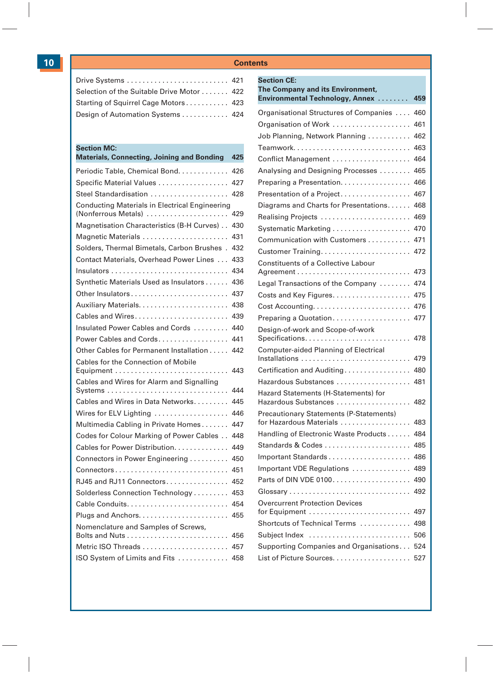| Drive Systems  421                        |  |
|-------------------------------------------|--|
| Selection of the Suitable Drive Motor 422 |  |
| Starting of Squirrel Cage Motors 423      |  |
| Design of Automation Systems  424         |  |

#### **Section MC:**

| Materials, Connecting, Joining and Bonding                                   | 425 |
|------------------------------------------------------------------------------|-----|
| Periodic Table, Chemical Bond.                                               | 426 |
| Specific Material Values                                                     | 427 |
| Steel Standardisation                                                        | 428 |
| <b>Conducting Materials in Electrical Engineering</b><br>(Nonferrous Metals) | 429 |
| Magnetisation Characteristics (B-H Curves)                                   | 430 |
| Magnetic Materials                                                           | 431 |
| Solders, Thermal Bimetals, Carbon Brushes.                                   | 432 |
| Contact Materials, Overhead Power Lines                                      | 433 |
|                                                                              | 434 |
| Synthetic Materials Used as Insulators                                       | 436 |
| Other Insulators                                                             | 437 |
|                                                                              | 438 |
| Cables and Wires                                                             | 439 |
| Insulated Power Cables and Cords                                             | 440 |
| Power Cables and Cords                                                       | 441 |
| Other Cables for Permanent Installation                                      | 442 |
| Cables for the Connection of Mobile                                          | 443 |
| Cables and Wires for Alarm and Signalling                                    | 444 |
| Cables and Wires in Data Networks.                                           | 445 |
| Wires for ELV Lighting                                                       | 446 |
| Multimedia Cabling in Private Homes                                          | 447 |
| Codes for Colour Marking of Power Cables                                     | 448 |
| Cables for Power Distribution.                                               | 449 |
| Connectors in Power Engineering                                              | 450 |
| Connectors                                                                   | 451 |
| RJ45 and RJ11 Connectors                                                     | 452 |
| Solderless Connection Technology                                             | 453 |
| Cable Conduits                                                               | 454 |
|                                                                              | 455 |
| Nomenclature and Samples of Screws,                                          | 456 |
| Metric ISO Threads                                                           | 457 |
| ISO System of Limits and Fits                                                | 458 |
|                                                                              |     |

| <b>Section CE:</b>                                                  |     |
|---------------------------------------------------------------------|-----|
| The Company and its Environment,<br>Environmental Technology, Annex | 459 |
|                                                                     | 460 |
| Organisational Structures of Companies                              | 461 |
| Organisation of Work                                                | 462 |
| Job Planning, Network Planning                                      | 463 |
|                                                                     | 464 |
| Conflict Management                                                 |     |
| Analysing and Designing Processes                                   | 465 |
| Preparing a Presentation.                                           | 466 |
| Presentation of a Project                                           | 467 |
| Diagrams and Charts for Presentations                               | 468 |
| Realising Projects                                                  | 469 |
| Systematic Marketing                                                | 470 |
| Communication with Customers                                        | 471 |
|                                                                     | 472 |
| Constituents of a Collective Labour                                 | 473 |
| Legal Transactions of the Company                                   | 474 |
| Costs and Key Figures.                                              | 475 |
|                                                                     | 476 |
| Preparing a Quotation                                               | 477 |
| Design-of-work and Scope-of-work                                    |     |
| Specifications                                                      | 478 |
| Computer-aided Planning of Electrical                               | 479 |
| Certification and Auditing                                          | 480 |
| Hazardous Substances                                                | 481 |
| Hazard Statements (H-Statements) for<br>Hazardous Substances        | 482 |
| <b>Precautionary Statements (P-Statements)</b>                      |     |
| for Hazardous Materials                                             | 483 |
| Handling of Electronic Waste Products                               | 484 |
| Standards & Codes                                                   | 485 |
|                                                                     | 486 |
| Important VDE Regulations                                           | 489 |
|                                                                     | 490 |
| Glossary                                                            | 492 |
| <b>Overcurrent Protection Devices</b><br>for Equipment              | 497 |
| Shortcuts of Technical Terms                                        | 498 |
| Subject Index                                                       | 506 |
| Supporting Companies and Organisations                              | 524 |
|                                                                     | 527 |
|                                                                     |     |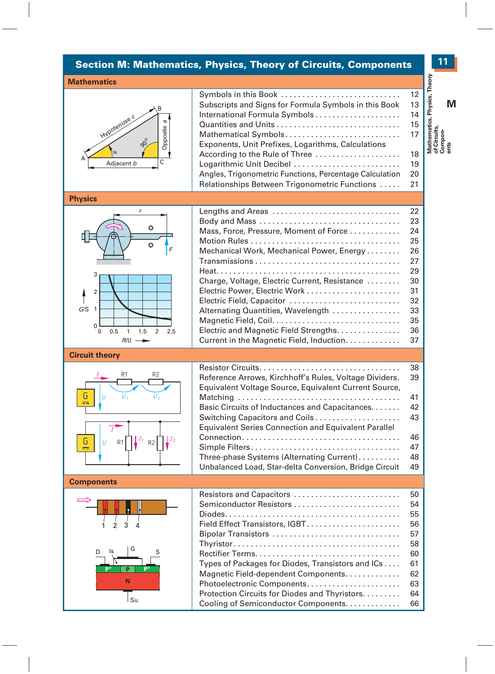#### **Section M: Mathematics, Physics, Theory of Circuits, Components**

#### **Mathematics**



| Symbols in this Book                                    | 12 |
|---------------------------------------------------------|----|
| Subscripts and Signs for Formula Symbols in this Book   | 13 |
| International Formula Symbols                           | 14 |
|                                                         | 15 |
| Mathematical Symbols                                    | 17 |
| Exponents, Unit Prefixes, Logarithms, Calculations      |    |
| According to the Rule of Three                          | 18 |
| Logarithmic Unit Decibel                                | 19 |
| Angles, Trigonometric Functions, Percentage Calculation | 20 |
| Relationships Between Trigonometric Functions           | 21 |

#### **Physics**



| Lengths and Areas                             | 22 |
|-----------------------------------------------|----|
| Body and Mass                                 | 23 |
| Mass, Force, Pressure, Moment of Force        | 24 |
|                                               | 25 |
| Mechanical Work, Mechanical Power, Energy     | 26 |
|                                               | 27 |
|                                               | 29 |
| Charge, Voltage, Electric Current, Resistance | 30 |
|                                               | 31 |
| Electric Field, Capacitor                     | 32 |
| Alternating Quantities, Wavelength            | 33 |
| Magnetic Field, Coil                          | 35 |
| Electric and Magnetic Field Strengths         | 36 |
| Current in the Magnetic Field, Induction      | 37 |
|                                               |    |

#### **Circuit theory**



|                                                             | 38 |
|-------------------------------------------------------------|----|
| Reference Arrows, Kirchhoff's Rules, Voltage Dividers.      | 39 |
| Equivalent Voltage Source, Equivalent Current Source,       |    |
|                                                             | 41 |
| Basic Circuits of Inductances and Capacitances.             | 42 |
|                                                             | 43 |
| <b>Equivalent Series Connection and Equivalent Parallel</b> |    |
|                                                             | 46 |
|                                                             | 47 |
| Three-phase Systems (Alternating Current)                   | 48 |
| Unbalanced Load, Star-delta Conversion, Bridge Circuit      | 49 |

#### **Components**



| Resistors and Capacitors                          | 50 |
|---------------------------------------------------|----|
| Semiconductor Resistors                           | 54 |
|                                                   | 55 |
| Field Effect Transistors, IGBT                    | 56 |
| Bipolar Transistors                               | 57 |
|                                                   | 58 |
|                                                   | 60 |
| Types of Packages for Diodes, Transistors and ICs | 61 |
| Magnetic Field-dependent Components               | 62 |
|                                                   | 63 |
| Protection Circuits for Diodes and Thyristors     | 64 |
| Cooling of Semiconductor Components.              | 66 |

### **M Mathematics, Physics, Theory of Circuits, Compon-ents**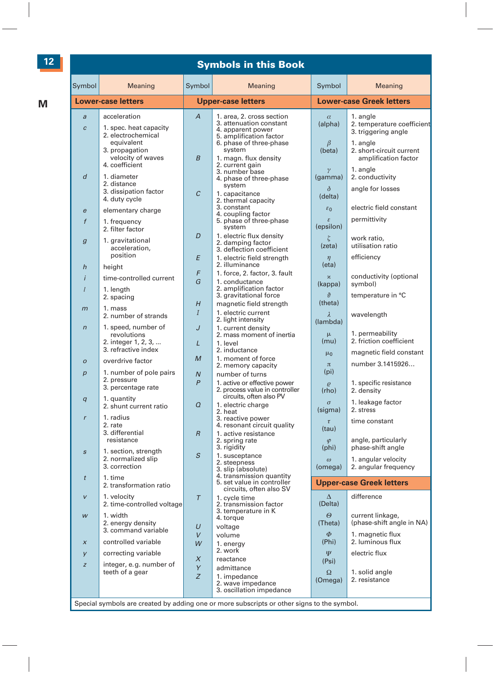#### **#### Symbols in this Book**

| Symbol                           | Meaning                                                             | Symbol                           | Meaning                                                                                                      | Symbol                              | Meaning                                                       |
|----------------------------------|---------------------------------------------------------------------|----------------------------------|--------------------------------------------------------------------------------------------------------------|-------------------------------------|---------------------------------------------------------------|
|                                  | <b>Lower-case letters</b>                                           |                                  | <b>Upper-case letters</b>                                                                                    |                                     | <b>Lower-case Greek letters</b>                               |
| $\overline{a}$<br>$\overline{c}$ | acceleration<br>1. spec. heat capacity<br>2. electrochemical        | $\overline{A}$                   | 1. area, 2. cross section<br>3. attenuation constant<br>4. apparent power<br>5. amplification factor         | $\alpha$<br>(alpha)                 | 1. angle<br>2. temperature coefficient<br>3. triggering angle |
|                                  | equivalent<br>3. propagation<br>velocity of waves<br>4. coefficient | $\overline{B}$                   | 6. phase of three-phase<br>system<br>1. magn. flux density<br>2. current gain                                | β<br>(beta)                         | 1. angle<br>2. short-circuit current<br>amplification factor  |
| $\overline{d}$                   | 1. diameter<br>2. distance                                          |                                  | 3. number base<br>4. phase of three-phase<br>system                                                          | $\gamma$<br>(gamma)                 | 1. angle<br>2. conductivity                                   |
|                                  | 3. dissipation factor<br>4. duty cycle                              | $\mathcal{C}$                    | 1. capacitance<br>2. thermal capacity                                                                        | δ<br>(delta)                        | angle for losses                                              |
| e<br>$\mathbf f$                 | elementary charge<br>1. frequency                                   |                                  | 3. constant<br>4. coupling factor<br>5. phase of three-phase                                                 | $\varepsilon_0$<br>ε                | electric field constant<br>permittivity                       |
| $\overline{g}$                   | 2. filter factor<br>1. gravitational                                | D                                | system<br>1. electric flux density<br>2. damping factor                                                      | (epsilon)<br>ζ                      | work ratio,                                                   |
|                                  | acceleration,<br>position                                           | E                                | 3. deflection coefficient<br>1. electric field strength                                                      | (zeta)<br>$\eta$                    | utilisation ratio<br>efficiency                               |
| $\boldsymbol{h}$<br>$\mathbf{i}$ | height<br>time-controlled current                                   | F                                | 2. illuminance<br>1. force, 2. factor, 3. fault                                                              | $(\text{eta})$<br>$\pmb{\varkappa}$ | conductivity (optional                                        |
| $\mathfrak l$                    | 1. length<br>2. spacing                                             | G                                | 1. conductance<br>2. amplification factor<br>3. gravitational force                                          | (kappa)<br>$\partial$               | symbol)<br>temperature in °C                                  |
| $\overline{m}$                   | 1. mass<br>2. number of strands                                     | H<br>$\overline{I}$              | magnetic field strength<br>1. electric current                                                               | (theta)<br>$\lambda$                | wavelength                                                    |
| $\sqrt{n}$                       | 1. speed, number of<br>revolutions                                  | J                                | 2. light intensity<br>1. current density<br>2. mass moment of inertia                                        | (lambda)<br>μ                       | 1. permeability                                               |
|                                  | 2. integer 1, 2, 3,<br>3. refractive index                          | L                                | 1. level<br>2. inductance                                                                                    | (mu)<br>$\mu_0$                     | 2. friction coefficient<br>magnetic field constant            |
| $\boldsymbol{O}$                 | overdrive factor<br>1. number of pole pairs                         | $\mathcal{M}_{\mathcal{A}}$      | 1. moment of force<br>2. memory capacity                                                                     | $\pi$<br>(p <sub>i</sub> )          | number 3.1415926                                              |
| $\boldsymbol{p}$                 | 2. pressure<br>3. percentage rate                                   | $\overline{N}$<br>$\overline{P}$ | number of turns<br>1. active or effective power<br>2. process value in controller<br>circuits, often also PV | $\varrho$<br>(rho)                  | 1. specific resistance<br>2. density                          |
| q                                | 1. quantity<br>2. shunt current ratio                               | Q                                | 1. electric charge<br>2. heat                                                                                | $\sigma$<br>(sigma)                 | 1. leakage factor<br>2. stress                                |
| $\mathbf{r}$                     | 1. radius<br>2. rate<br>3. differential                             | $\overline{R}$                   | 3. reactive power<br>4. resonant circuit quality<br>1. active resistance                                     | $\tau$<br>(tau)                     | time constant                                                 |
| $\boldsymbol{s}$                 | resistance<br>1. section, strength                                  | S                                | 2. spring rate<br>3. rigidity<br>1. susceptance                                                              | $\varphi$<br>(phi)                  | angle, particularly<br>phase-shift angle                      |
|                                  | 2. normalized slip<br>3. correction                                 |                                  | 2. steepness<br>3. slip (absolute)<br>4. transmission quantity                                               | $\omega$<br>(omega)                 | 1. angular velocity<br>2. angular frequency                   |
| $\dot{t}$                        | 1. time<br>2. transformation ratio                                  |                                  | 5. set value in controller<br>circuits, often also SV                                                        |                                     | <b>Upper-case Greek letters</b>                               |
| $\mathsf{v}$                     | 1. velocity<br>2. time-controlled voltage                           | $\tau$                           | 1. cycle time<br>2. transmission factor<br>3. temperature in K                                               | $\Delta$<br>(Delta)                 | difference                                                    |
| W                                | 1. width<br>2. energy density<br>3. command variable                | $\cup$                           | 4. torque<br>voltage                                                                                         | $\Theta$<br>(Theta)                 | current linkage,<br>(phase-shift angle in NA)                 |
| $\pmb{\chi}$                     | controlled variable                                                 | V<br>W                           | volume<br>1. energy<br>2. work                                                                               | $\Phi$<br>(Phi)                     | 1. magnetic flux<br>2. luminous flux                          |
| y<br>$\boldsymbol{Z}$            | correcting variable<br>integer, e.g. number of                      | X                                | reactance                                                                                                    | $\overline{\Psi}$<br>(Psi)          | electric flux                                                 |
|                                  | teeth of a gear                                                     | Y<br>Z                           | admittance<br>1. impedance<br>2. wave impedance<br>3. oscillation impedance                                  | Ω<br>(Omega)                        | 1. solid angle<br>2. resistance                               |
|                                  |                                                                     |                                  | Special symbols are created by adding one or more subscripts or other signs to the symbol.                   |                                     |                                                               |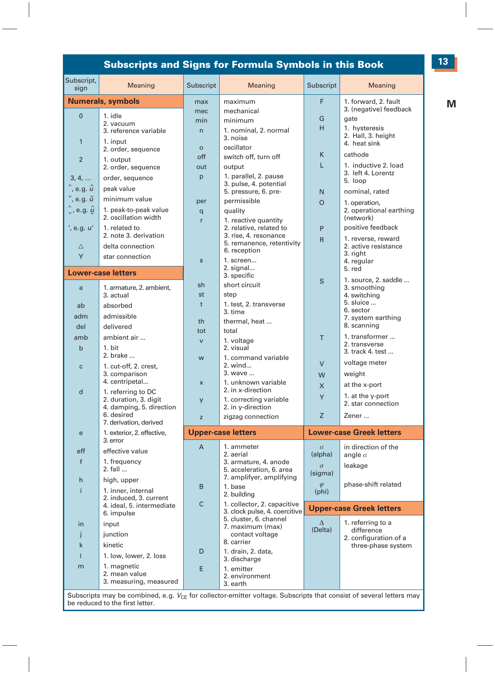#### **###### Subscripts and Signs for Formula Symbols in this Book**

| Subscript,<br>sign             | Meaning                                     | Subscript      | Meaning                                                      | Subscript            | Meaning                                    |
|--------------------------------|---------------------------------------------|----------------|--------------------------------------------------------------|----------------------|--------------------------------------------|
|                                | <b>Numerals, symbols</b>                    | max            | maximum                                                      | F                    | 1. forward, 2. fault                       |
| $\overline{0}$                 | 1. idle                                     | mec            | mechanical                                                   |                      | 3. (negative) feedback                     |
|                                | 2. vacuum                                   | min            | minimum                                                      | G                    | gate                                       |
|                                | 3. reference variable                       | $\overline{n}$ | 1. nominal, 2. normal                                        | H                    | 1. hysteresis                              |
| $\mathbf{1}$                   | 1. input                                    |                | 3. noise                                                     |                      | 2. Hall, 3. height<br>4. heat sink         |
|                                | 2. order, sequence                          | $\circ$        | oscillator                                                   | K                    | cathode                                    |
| $\overline{2}$                 | 1. output                                   | off            | switch off, turn off                                         |                      |                                            |
|                                | 2. order, sequence                          | out            | output                                                       | L                    | 1. inductive 2. load<br>3. left 4. Lorentz |
| 3, 4,                          | order, sequence                             | p              | 1. parallel, 2. pause                                        |                      | 5. loop                                    |
| $\hat{ }$ , e.g. $\hat{u}$     | peak value                                  |                | 3. pulse, 4. potential<br>5. pressure, 6. pre-               | N                    | nominal, rated                             |
| $\check{ }$ , e.g. $\check{u}$ | minimum value                               | per            | permissible                                                  | $\Omega$             |                                            |
| $\downarrow$ , e.g. $\hat{y}$  | 1. peak-to-peak value                       | q              | quality                                                      |                      | 1. operation.<br>2. operational earthing   |
|                                | 2. oscillation width                        | r              | 1. reactive quantity                                         |                      | (network)                                  |
| ', e.g. <i>u'</i>              | 1. related to                               |                | 2. relative, related to                                      | P                    | positive feedback                          |
|                                | 2. note 3. derivation                       |                | 3. rise, 4. resonance                                        | $\overline{R}$       | 1. reverse, reward                         |
| $\triangle$                    | delta connection                            |                | 5. remanence, retentivity                                    |                      | 2. active resistance                       |
| Y                              | star connection                             |                | 6. reception                                                 |                      | 3. right                                   |
|                                |                                             | $\mathsf{s}$   | 1. screen                                                    |                      | 4. regular                                 |
|                                | <b>Lower-case letters</b>                   |                | 2. signal<br>3. specific                                     |                      | 5. red                                     |
|                                |                                             | sh             | short circuit                                                | S                    | 1. source, 2. saddle                       |
| $\mathsf{a}$                   | 1. armature, 2. ambient,<br>3. actual       | st             | step                                                         |                      | 3. smoothing<br>4. switching               |
| ab                             | absorbed                                    | $\mathbf{t}$   | 1. test. 2. transverse                                       |                      | 5. sluice                                  |
|                                |                                             |                | 3. time                                                      |                      | 6. sector                                  |
| adm                            | admissible                                  | th             | thermal, heat                                                |                      | 7. system earthing                         |
| del                            | delivered                                   | tot            | total                                                        |                      | 8. scanning                                |
| amb                            | ambient air                                 | $\mathsf{v}$   | 1. voltage                                                   | T                    | 1. transformer<br>2. transverse            |
| $\mathbf b$                    | 1. hit                                      |                | 2. visual                                                    |                      | 3. track 4. test                           |
|                                | 2. brake                                    | w              | 1. command variable                                          |                      | voltage meter                              |
| $\mathbf c$                    | 1. cut-off, 2. crest,                       |                | 2. wind                                                      | $\vee$               |                                            |
|                                | 3. comparison<br>4. centripetal             |                | 3. wave                                                      | W                    | weight                                     |
| $\mathsf{d}$                   |                                             | $\pmb{\times}$ | 1. unknown variable<br>2. in x-direction                     | X                    | at the x-port                              |
|                                | 1. referring to DC<br>2. duration, 3. digit | y              | 1. correcting variable                                       | Y                    | 1. at the y-port                           |
|                                | 4. damping, 5. direction                    |                | 2. in y-direction                                            |                      | 2. star connection                         |
|                                | 6. desired                                  | z              | zigzag connection                                            | $\overline{z}$       | Zener                                      |
|                                | 7. derivation, derived                      |                |                                                              |                      |                                            |
| $\mathbf{e}$                   | 1. exterior, 2. effective,<br>3. error      |                | <b>Upper-case letters</b>                                    |                      | <b>Lower-case Greek letters</b>            |
| eff                            | effective value                             | $\overline{A}$ | 1. ammeter<br>2. aerial                                      | $\alpha$<br>(alpha)  | in direction of the                        |
| f                              | 1. frequency                                |                | 3. armature, 4. anode                                        |                      | angle $\alpha$                             |
|                                | 2. fall                                     |                | 5. acceleration, 6. area                                     | $\sigma$<br>(sigma)  | leakage                                    |
| $\mathsf{h}$                   | high, upper                                 |                | 7. amplifyer, amplifying                                     |                      |                                            |
| î.                             | 1. inner, internal                          | B              | 1. base                                                      | $\varphi$<br>(phi)   | phase-shift related                        |
|                                | 2. induced, 3. current                      |                | 2. buildina                                                  |                      |                                            |
|                                | 4. ideal, 5. intermediate                   | $\mathsf{C}$   | 1. collector, 2. capacitive<br>3. clock pulse, 4. coercitive |                      | <b>Upper-case Greek letters</b>            |
|                                | 6. impulse                                  |                | 5. cluster, 6. channel                                       |                      |                                            |
| in                             | input                                       |                | 7. maximum (max)                                             | $\Lambda$<br>(Delta) | 1. referring to a<br>difference            |
| j                              | junction                                    |                | contact voltage                                              |                      | 2. configuration of a                      |
| $\mathsf{k}$                   | kinetic                                     |                | 8. carrier                                                   |                      | three-phase system                         |
| $\mathbf{I}$                   | 1. low, lower, 2. loss                      | D              | 1. drain, 2. data,                                           |                      |                                            |
| m                              | 1. magnetic                                 |                | 3. discharge                                                 |                      |                                            |
|                                | 2. mean value                               | E              | 1. emitter<br>2. environment                                 |                      |                                            |
|                                | 3. measuring, measured                      |                | 3. earth                                                     |                      |                                            |
|                                |                                             |                |                                                              |                      |                                            |

Subscripts may be combined, e.g.  $V_{CE}$  for collector-emitter voltage. Subscripts that consist of several letters may be reduced to the first letter.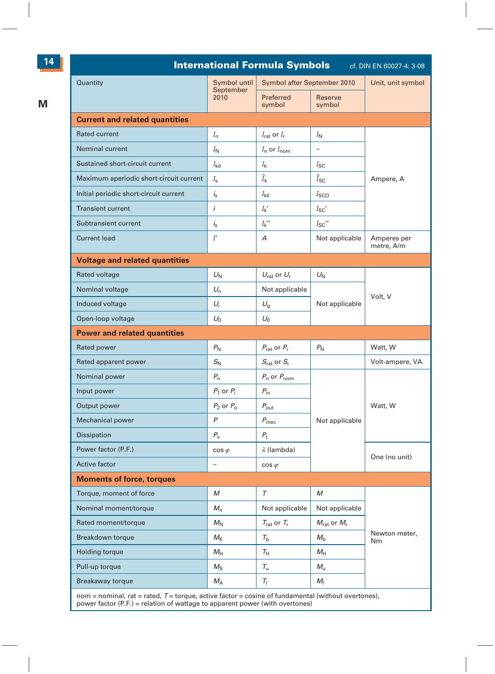|                                         |                             | <b>International Formula Symbols</b>  |                                    | cf. DIN EN 60027-4: 3-08  |
|-----------------------------------------|-----------------------------|---------------------------------------|------------------------------------|---------------------------|
| Quantity                                | Symbol until<br>September   | Symbol after September 2010           |                                    | Unit, unit symbol         |
|                                         | 2010                        | Preferred<br>symbol                   | Reserve<br>symbol                  |                           |
| <b>Current and related quantities</b>   |                             |                                       |                                    |                           |
| <b>Rated current</b>                    | $I_{n}$                     | $I_{\text{rat}}$ or $I_{\text{r}}$    | $I_{\mathsf{N}}$                   |                           |
| <b>Nominal current</b>                  | $I_{\rm N}$                 | $I_n$ or $I_{nom}$                    |                                    |                           |
| Sustained short-circuit current         | $I_{\mathsf{k} \mathsf{d}}$ | $I_{\mathbf{k}}$                      | $I_{SC}$                           |                           |
| Maximum aperiodic short-circuit current | $I_{\rm s}$                 | $\hat{I}_{\mathbf{k}}$                | $\hat{I}_{SC}$                     | Ampere, A                 |
| Initial periodic short-circuit current  | $i_{\rm s}$                 | $I_{\mathsf{kQ}}$                     | $I_{SCO}$                          |                           |
| <b>Transient current</b>                | $\ddot{i}$                  | $I_{\mathsf{k}}{}'$                   | $I_{SC}$                           |                           |
| Subtransient current                    | $i_{\rm s}$                 | $I_{k}$ "                             | $I_{SC}$ "                         |                           |
| <b>Current load</b>                     | I'                          | А                                     | Not applicable                     | Amperes per<br>metre, A/m |
| <b>Voltage and related quantities</b>   |                             |                                       |                                    |                           |
| Rated voltage                           | $U_N$                       | $U_{\text{rat}}$ or $U_{\text{r}}$    | $U_{\rm N}$                        |                           |
| Nominal voltage                         | $U_{\mathsf{n}}$            | Not applicable                        |                                    |                           |
| Induced voltage                         | $U_i$                       | $U_{\rm q}$                           | Not applicable                     | Volt, V                   |
| Open-loop voltage                       | $U_0$                       | $U_0$                                 |                                    |                           |
| <b>Power and related quantities</b>     |                             |                                       |                                    |                           |
| Rated power                             | $P_{N}$                     | $P_{\text{rat}}$ or $P_{\text{r}}$    | $P_{N}$                            | Watt, W                   |
| Rated apparent power                    | $S_{\mathsf{N}}$            | $S_{\text{rat}}$ or $S_{\text{r}}$    |                                    | Volt-ampere, VA           |
| Nominal power                           | $P_{n}$                     | $P_n$ or $P_{nom}$                    |                                    |                           |
| Input power                             | $P_1$ or $P_i$              | $P_{\rm in}$                          |                                    |                           |
| Output power                            | $P_2$ or $P_0$              | $P_{\text{out}}$                      |                                    | Watt, W                   |
| <b>Mechanical power</b>                 | P                           | $P_{\text{mec}}$                      | Not applicable                     |                           |
| <b>Dissipation</b>                      | $P_{\rm v}$                 | $P_{\rm t}$                           |                                    |                           |
| Power factor (P.F.)                     | $cos \varphi$               | $\lambda$ (lambda)                    |                                    |                           |
| Active factor                           |                             | $cos \varphi$                         |                                    | One (no unit)             |
| <b>Moments of force, torques</b>        |                             |                                       |                                    |                           |
| Torque, moment of force                 | M                           | $\tau$                                | M                                  |                           |
| Nominal moment/torque                   | $M_{n}$                     | Not applicable                        | Not applicable                     |                           |
| Rated moment/torque                     | $M_{\rm N}$                 | $T_{\rm rat}$ or $T_{\rm r}$          | $M_{\text{rat}}$ or $M_{\text{r}}$ |                           |
| Breakdown torque                        | $M_{\rm K}$                 | $T_{\rm b}$                           | $M_{\rm b}$                        | Newton meter,<br>Nm       |
| <b>Holding torque</b>                   |                             | $\tau_{\scriptscriptstyle\mathsf{H}}$ | $M_{\rm H}$                        |                           |
|                                         | $M_{\rm H}$                 |                                       |                                    |                           |
| Pull-up torque                          | $M_{\rm S}$                 | $T_{\rm u}$                           | $M_{\rm u}$                        |                           |

nom = nominal, rat = rated, T = torque, active factor = cosine of fundamental (without overtones),<br>power factor (P.F.) = relation of wattage to apparent power (with overtones)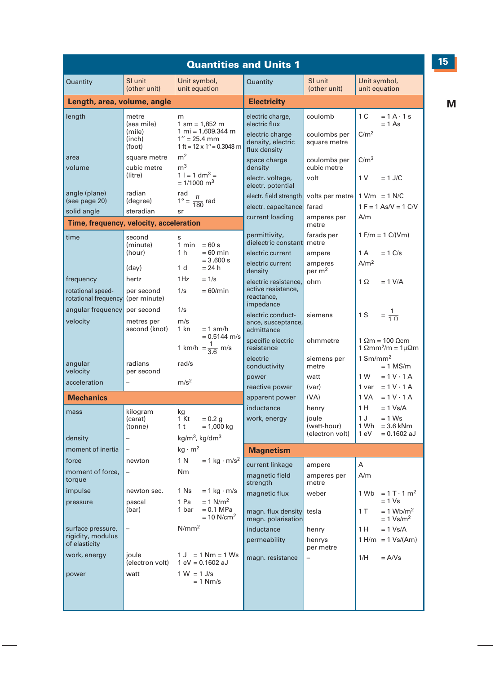|                                                                                                           |                                                                                       |                                                                                                                                               | <b>Quantities and Units 1</b>                                                                                                                                    |                                                                                |                                                                                                                                     |
|-----------------------------------------------------------------------------------------------------------|---------------------------------------------------------------------------------------|-----------------------------------------------------------------------------------------------------------------------------------------------|------------------------------------------------------------------------------------------------------------------------------------------------------------------|--------------------------------------------------------------------------------|-------------------------------------------------------------------------------------------------------------------------------------|
| Quantity                                                                                                  | SI unit<br>(other unit)                                                               | Unit symbol,<br>unit equation                                                                                                                 | Quantity                                                                                                                                                         | SI unit<br>(other unit)                                                        | Unit symbol,<br>unit equation                                                                                                       |
| Length, area, volume, angle                                                                               |                                                                                       |                                                                                                                                               | <b>Electricity</b>                                                                                                                                               |                                                                                |                                                                                                                                     |
| length                                                                                                    | metre<br>(sea mile)<br>(mile)<br>(inch)<br>(foot)                                     | m<br>$1 \text{ sm} = 1,852 \text{ m}$<br>$1 m = 1,609.344 m$<br>$1'' = 25.4$ mm<br>1 ft = $12 \times 1$ " = 0.3048 m                          | electric charge,<br>electric flux<br>electric charge<br>density, electric                                                                                        | coulomb<br>coulombs per<br>square metre                                        | 1 C<br>$= 1 A \cdot 1 s$<br>$= 1 As$<br>C/m <sup>2</sup>                                                                            |
| area<br>volume<br>angle (plane)<br>(see page 20)                                                          | square metre<br>cubic metre<br>(litre)<br>radian<br>(degree)                          | m <sup>2</sup><br>m <sup>3</sup><br>$1 = 1 dm3 =$<br>$= 1/1000$ m <sup>3</sup><br>rad<br>$1^{\circ} = \frac{\pi}{180}$ rad                    | flux density<br>space charge<br>density<br>electr. voltage,<br>electr. potential<br>electr. field strength<br>electr. capacitance                                | coulombs per<br>cubic metre<br>volt<br>volts per metre<br>farad                | C/m <sup>3</sup><br>1 <sub>V</sub><br>$= 1$ J/C<br>$1 \text{ V/m} = 1 \text{ N/C}$<br>$1 F = 1 As/V = 1 C/V$                        |
| solid angle                                                                                               | steradian                                                                             |                                                                                                                                               | current loading                                                                                                                                                  | amperes per                                                                    | A/m                                                                                                                                 |
| Time, frequency, velocity, acceleration<br>time<br>frequency<br>rotational speed-<br>rotational frequency | second<br>(minute)<br>(hour)<br>$\text{(day)}$<br>hertz<br>per second<br>(per minute) | s<br>$1 min = 60 s$<br>$= 60$ min<br>1 <sub>h</sub><br>$= 3,600 s$<br>$= 24 h$<br>1 d<br>$= 1/s$<br>1Hz<br>1/s<br>$= 60/min$                  | permittivity,<br>dielectric constant<br>electric current<br>electric current<br>density<br>electric resistance.<br>active resistance.<br>reactance,<br>impedance | metre<br>farads per<br>metre<br>ampere<br>amperes<br>per m <sup>2</sup><br>ohm | $1 F/m = 1 C/(Vm)$<br>1 A<br>$= 1$ C/s<br>A/m <sup>2</sup><br>$1 \Omega$<br>$= 1$ V/A                                               |
| angular frequency<br>velocity<br>angular                                                                  | per second<br>metres per<br>second (knot)<br>radians                                  | 1/s<br>m/s<br>$1$ kn<br>$= 1$ sm/h<br>$= 0.5144$ m/s<br>1 km/h = $\frac{1}{3.6}$ m/s<br>rad/s                                                 | electric conduct-<br>ance, susceptance,<br>admittance<br>specific electric<br>resistance<br>electric                                                             | siemens<br>ohmmetre<br>siemens per                                             | $=\frac{1}{10}$<br>1 S<br>$1 \Omega m = 100 \Omega cm$<br>1 $\Omega$ mm <sup>2</sup> /m = 1 $\mu\Omega$ m<br>$1$ Sm/mm <sup>2</sup> |
| velocity                                                                                                  | per second                                                                            |                                                                                                                                               | conductivity<br>power                                                                                                                                            | metre<br>watt                                                                  | $= 1$ MS/m<br>1 W<br>$= 1 V \cdot 1 A$                                                                                              |
| acceleration<br><b>Mechanics</b>                                                                          |                                                                                       | m/s <sup>2</sup>                                                                                                                              | reactive power<br>apparent power<br>inductance                                                                                                                   | (var)<br>(VA)<br>henry                                                         | $= 1 V \cdot 1 A$<br>1 var<br>1 VA<br>$= 1 V \cdot 1 A$<br>1 H<br>$= 1$ Vs/A                                                        |
| mass<br>density                                                                                           | kilogram<br>(carat)<br>(tonne)                                                        | kg<br>1 Kt<br>$= 0.2$ g<br>1 <sup>t</sup><br>$= 1,000$ kg<br>kg/m <sup>3</sup> , kg/dm <sup>3</sup>                                           | work, energy                                                                                                                                                     | ioule<br>(watt-hour)<br>(electron volt)                                        | 1J<br>$= 1$ Ws<br>1 Wh<br>$= 3.6$ kNm<br>$= 0.1602$ aJ<br>1 eV                                                                      |
| moment of inertia                                                                                         |                                                                                       | $kg \cdot m^2$                                                                                                                                | <b>Magnetism</b>                                                                                                                                                 |                                                                                |                                                                                                                                     |
| force<br>moment of force.<br>torque<br>impulse<br>pressure                                                | newton<br>newton sec.<br>pascal<br>(bar)                                              | 1 N<br>$= 1$ kg $\cdot$ m/s <sup>2</sup><br><b>Nm</b><br>1 Ns<br>$= 1$ kg $\cdot$ m/s<br>$= 1$ N/m <sup>2</sup><br>1 Pa<br>1 bar<br>= 0.1 MPa | current linkage<br>magnetic field<br>strength<br>magnetic flux<br>magn. flux density tesla                                                                       | ampere<br>amperes per<br>metre<br>weber                                        | A<br>A/m<br>$1 \text{ Wb} = 1 \text{ T} \cdot 1 \text{ m}^2$<br>$= 1$ Vs<br>1 T<br>$= 1$ Wb/m <sup>2</sup>                          |
| surface pressure,<br>rigidity, modulus<br>of elasticity<br>work, energy<br>power                          | $\overline{\phantom{0}}$<br>joule<br>(electron volt)<br>watt                          | $= 10$ N/cm <sup>2</sup><br>N/mm <sup>2</sup><br>$1 J = 1 Nm = 1 Ws$<br>$1 eV = 0.1602 aJ$<br>$1 W = 1 J/s$<br>$= 1$ Nm/s                     | magn. polarisation<br>inductance<br>permeability<br>magn. resistance                                                                                             | henry<br>henrys<br>per metre                                                   | $= 1$ Vs/m <sup>2</sup><br>1 H<br>$= 1 Vs/A$<br>$1 H/m = 1 Vs/(Am)$<br>$= A/Vs$<br>1/H                                              |
|                                                                                                           |                                                                                       |                                                                                                                                               |                                                                                                                                                                  |                                                                                |                                                                                                                                     |

**15**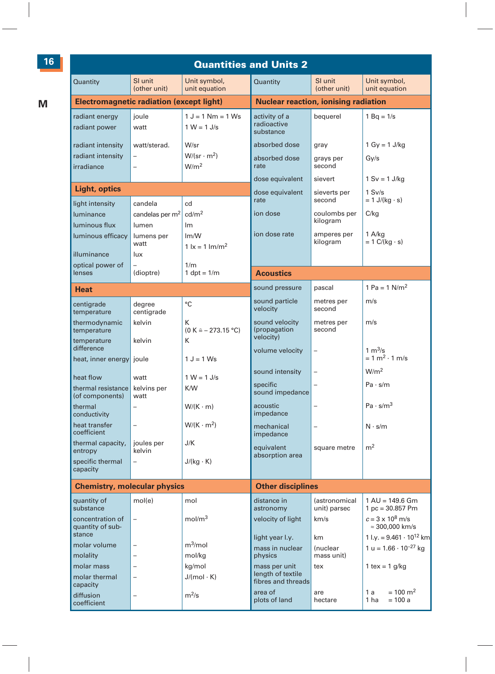|                                                                                                       |                                                                              |                                                                                   | <b>Quantities and Units 2</b>                                                       |                                                               |                                                                                              |
|-------------------------------------------------------------------------------------------------------|------------------------------------------------------------------------------|-----------------------------------------------------------------------------------|-------------------------------------------------------------------------------------|---------------------------------------------------------------|----------------------------------------------------------------------------------------------|
| Quantity                                                                                              | SI unit<br>(other unit)                                                      | Unit symbol,<br>unit equation                                                     | Quantity                                                                            | SI unit<br>(other unit)                                       | Unit symbol,<br>unit equation                                                                |
| <b>Electromagnetic radiation (except light)</b>                                                       |                                                                              |                                                                                   | <b>Nuclear reaction, ionising radiation</b>                                         |                                                               |                                                                                              |
| radiant energy<br>radiant power                                                                       | ioule<br>watt                                                                | $1 J = 1 Nm = 1 Ws$<br>$1 W = 1 J/s$                                              | activity of a<br>radioactive<br>substance                                           | bequerel                                                      | $1 Bq = 1/s$                                                                                 |
| radiant intensity<br>radiant intensity<br>irradiance                                                  | watt/sterad.<br>$\overline{a}$<br>$\overline{a}$                             | W/sr<br>$W/(sr \cdot m^2)$<br>W/m <sup>2</sup>                                    | absorbed dose<br>absorbed dose<br>rate<br>dose equivalent                           | gray<br>grays per<br>second<br>sievert                        | 1 Gy = $1$ J/kg<br>Gy/s<br>$1 Sv = 1 J/kg$                                                   |
| Light, optics                                                                                         |                                                                              |                                                                                   | dose equivalent                                                                     | sieverts per                                                  | $1$ Sv/s                                                                                     |
| light intensity<br>luminance<br>luminous flux<br>luminous efficacy<br>illuminance<br>optical power of | candela<br>candelas per m <sup>2</sup><br>lumen<br>lumens per<br>watt<br>lux | cd<br>cd/m <sup>2</sup><br>Im<br>Im/W<br>$1 \text{ kg} = 1 \text{ lm/m}^2$<br>1/m | rate<br>ion dose<br>ion dose rate                                                   | second<br>coulombs per<br>kilogram<br>amperes per<br>kilogram | $= 1$ J/(kg $\cdot$ s)<br>C/kg<br>1 A/kg<br>$= 1$ C/(kg $\cdot$ s)                           |
| lenses                                                                                                | (dioptre)                                                                    | $1$ dpt = $1/m$                                                                   | <b>Acoustics</b>                                                                    |                                                               |                                                                                              |
| Heat                                                                                                  |                                                                              |                                                                                   | sound pressure                                                                      | pascal                                                        | 1 Pa = $1$ N/m <sup>2</sup>                                                                  |
| centigrade<br>temperature                                                                             | degree<br>centigrade                                                         | °C                                                                                | sound particle<br>velocity                                                          | metres per<br>second                                          | m/s                                                                                          |
| thermodynamic<br>temperature<br>temperature                                                           | kelvin<br>kelvin                                                             | Κ<br>(0 K <u>273.15</u> °C)<br>К                                                  | sound velocity<br>(propagation<br>velocity)                                         | metres per<br>second                                          | m/s                                                                                          |
| difference<br>heat, inner energy                                                                      | joule                                                                        | $1 J = 1 Ws$                                                                      | volume velocity                                                                     | $\overline{a}$                                                | 1 $m^3/s$<br>$= 1 \text{ m}^2 \cdot 1 \text{ m/s}$                                           |
| heat flow<br>thermal resistance<br>(of components)                                                    | watt<br>kelvins per<br>watt                                                  | $1 W = 1 J/s$<br>K/W                                                              | sound intensity<br>specific<br>sound impedance                                      |                                                               | W/m <sup>2</sup><br>Pa·s/m                                                                   |
| thermal<br>conductivity                                                                               | $\overline{\phantom{0}}$                                                     | $W/(K \cdot m)$                                                                   | acoustic<br>impedance                                                               |                                                               | Pa·s/m <sup>3</sup>                                                                          |
| heat transfer<br>coefficient                                                                          | $\overline{a}$                                                               | $W/(K \cdot m^2)$                                                                 | mechanical<br>impedance                                                             | $\overline{a}$                                                | $N \cdot s/m$                                                                                |
| thermal capacity,<br>entropy<br>specific thermal<br>capacity                                          | joules per<br>kelvin<br>$\overline{a}$                                       | J/K<br>$J/(kg \cdot K)$                                                           | equivalent<br>absorption area                                                       | square metre                                                  | m <sup>2</sup>                                                                               |
| <b>Chemistry, molecular physics</b>                                                                   |                                                                              |                                                                                   | <b>Other disciplines</b>                                                            |                                                               |                                                                                              |
| quantity of<br>substance<br>concentration of<br>quantity of sub-                                      | mol(e)<br>$\overline{a}$                                                     | mol<br>mol/m <sup>3</sup>                                                         | distance in<br>astronomy<br>velocity of light                                       | <i>(astronomical</i><br>unit) parsec<br>km/s                  | $1 AU = 149.6 Gm$<br>$1 pc = 30.857 Pm$<br>$c = 3 \times 10^8$ m/s<br>$\approx$ 300,000 km/s |
| stance<br>molar volume<br>molality<br>molar mass<br>molar thermal                                     |                                                                              | $m^3$ /mol<br>mol/kg<br>kg/mol<br>$J/(mol \cdot K)$                               | light year I.y.<br>mass in nuclear<br>physics<br>mass per unit<br>length of textile | km<br>(nuclear<br>mass unit)<br>tex                           | 1 l.y. = $9.461 \cdot 10^{12}$ km<br>$1 u = 1.66 \cdot 10^{-27}$ kg<br>1 tex = $1$ g/kg      |
| capacity<br>diffusion<br>coefficient                                                                  | -                                                                            | $m^2/s$                                                                           | fibres and threads<br>area of<br>plots of land                                      | are<br>hectare                                                | $= 100 \text{ m}^2$<br>1 a<br>$= 100 a$<br>1 ha                                              |

**16**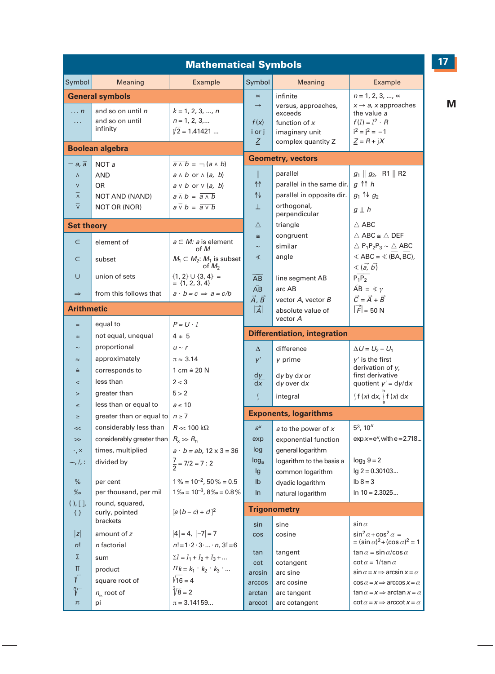|                                                                                         |                                                                                                      | <b>Mathematical Symbols</b>                                                                                                                                                                           |                                                |                                                                                                       |                                                                                                                                                                                                  |
|-----------------------------------------------------------------------------------------|------------------------------------------------------------------------------------------------------|-------------------------------------------------------------------------------------------------------------------------------------------------------------------------------------------------------|------------------------------------------------|-------------------------------------------------------------------------------------------------------|--------------------------------------------------------------------------------------------------------------------------------------------------------------------------------------------------|
| Symbol                                                                                  | Meaning                                                                                              | Example                                                                                                                                                                                               | Symbol                                         | Meaning                                                                                               | Example                                                                                                                                                                                          |
| $\ldots$ n<br>$\cdots$                                                                  | <b>General symbols</b><br>and so on until n<br>and so on until<br>infinity<br><b>Boolean algebra</b> | $k = 1, 2, 3, , n$<br>$n = 1, 2, 3, $<br>$\sqrt{2}$ = 1.41421                                                                                                                                         | $\infty$<br>$\rightarrow$<br>f(x)<br>iori<br>Ζ | infinite<br>versus, approaches,<br>exceeds<br>function of $x$<br>imaginary unit<br>complex quantity Z | $n = 1, 2, 3, , \infty$<br>$x \rightarrow a$ , x approaches<br>the value a<br>$f(I) = I^2 \cdot R$<br>$i^2 = i^2 = -1$<br>$Z = R + jX$                                                           |
|                                                                                         |                                                                                                      |                                                                                                                                                                                                       |                                                | <b>Geometry, vectors</b>                                                                              |                                                                                                                                                                                                  |
| $\neg a, \overline{a}$<br>Λ<br>$\vee$<br>$\overline{\wedge}$<br>$\overline{\mathsf{v}}$ | NOTa<br><b>AND</b><br><b>OR</b><br>NOT AND (NAND)<br>NOT OR (NOR)                                    | $\overline{a \wedge b}$ = $\neg$ $(a \wedge b)$<br>$a \wedge b$ or $\wedge (a, b)$<br>$a \vee b$ or $\vee (a, b)$<br>$a \bar{w} b = \overline{a \bar{w}}$<br>$a \overline{v} b = \overline{a \vee b}$ | $\parallel$<br>11<br>1↓<br>T.                  | parallel<br>parallel in the same dir.<br>parallel in opposite dir.<br>orthogonal,<br>perpendicular    | $g_1 \parallel g_2$ , R1    R2<br>$q \uparrow \uparrow h$<br>$g_1 \uparrow \qquad g_2$<br>$g \perp h$                                                                                            |
| <b>Set theory</b>                                                                       |                                                                                                      |                                                                                                                                                                                                       | Δ                                              | triangle                                                                                              | $\triangle$ ABC                                                                                                                                                                                  |
| $\in$<br>$\subset$                                                                      | element of<br>subset                                                                                 | $a \in M$ : a is element<br>of M<br>$M_1 \subset M_2$ : $M_1$ is subset<br>of $M_2$                                                                                                                   | $\cong$<br>$\sim$<br>文                         | congruent<br>similar<br>angle                                                                         | $\triangle$ ABC $\cong \triangle$ DEF<br>$\triangle$ P <sub>1</sub> P <sub>2</sub> P <sub>3</sub> ~ $\triangle$ ABC<br>$\angle$ ABC = $\angle$ (BA, BC),<br>$\langle (\vec{a}, \vec{b}) \rangle$ |
| U                                                                                       | union of sets                                                                                        | ${1, 2} \cup {3, 4} =$<br>$= \{1, 2, 3, 4\}$                                                                                                                                                          | AB                                             | line segment AB                                                                                       | $\overline{P_1P_2}$                                                                                                                                                                              |
| $\Rightarrow$                                                                           | from this follows that                                                                               | $a \cdot b = c \Rightarrow a = c/b$                                                                                                                                                                   | $\widehat{AB}$<br>Ā, B                         | arc AB<br>vector A, vector B                                                                          | $\widehat{AB} = \nless \gamma$<br>$\vec{C} = \vec{A} + \vec{B}$                                                                                                                                  |
| <b>Arithmetic</b>                                                                       |                                                                                                      |                                                                                                                                                                                                       | $ \vec{A} $                                    | absolute value of                                                                                     | $ \vec{F} $ = 50 N                                                                                                                                                                               |
|                                                                                         | equal to                                                                                             | $P = U \cdot I$                                                                                                                                                                                       |                                                | vector A                                                                                              |                                                                                                                                                                                                  |
| $\pm$                                                                                   | not equal, unequal                                                                                   | 4 ÷ 5                                                                                                                                                                                                 |                                                | <b>Differentiation, integration</b>                                                                   |                                                                                                                                                                                                  |
|                                                                                         | proportional                                                                                         | $u \sim r$                                                                                                                                                                                            | Δ                                              | difference                                                                                            | $\Delta U = U_2 - U_1$                                                                                                                                                                           |
| $\approx$<br>≙                                                                          | approximately<br>corresponds to                                                                      | $\pi \approx 3.14$<br>1 cm ≙ 20 N                                                                                                                                                                     | y'                                             | y prime                                                                                               | $y'$ is the first<br>derivation of $y$ ,                                                                                                                                                         |
| $\overline{a}$                                                                          | less than                                                                                            | 2 < 3                                                                                                                                                                                                 | dy<br>dx                                       | $dy$ by $dx$ or<br>$dy$ over $dx$                                                                     | first derivative<br>quotient $y' = dy/dx$                                                                                                                                                        |
| $\geq$                                                                                  | greater than                                                                                         | 5 > 2                                                                                                                                                                                                 | $\sqrt{2}$                                     | integral                                                                                              | $\int f(x) dx, \int f(x) dx$                                                                                                                                                                     |
| ≤                                                                                       | less than or equal to                                                                                | $a \leq 10$                                                                                                                                                                                           |                                                |                                                                                                       |                                                                                                                                                                                                  |
| ≥                                                                                       | greater than or equal to $n \ge 7$                                                                   |                                                                                                                                                                                                       |                                                | <b>Exponents, logarithms</b>                                                                          |                                                                                                                                                                                                  |
| <<                                                                                      | considerably less than                                                                               | $R \ll 100 \text{ k}\Omega$                                                                                                                                                                           | $a^x$                                          | a to the power of x                                                                                   | $5^3$ , 10 <sup><math>x</math></sup>                                                                                                                                                             |
| $\gg$                                                                                   | considerably greater than                                                                            | $R_{\rm x} \gg R_{\rm n}$                                                                                                                                                                             | exp                                            | exponential function                                                                                  | $exp x = e^x$ , with $e = 2.718$                                                                                                                                                                 |
| $\cdot$ , $\times$<br>—, /, :                                                           | times, multiplied<br>divided by                                                                      | $a \cdot b = ab$ , 12 x 3 = 36<br>$\frac{7}{2}$ = 7/2 = 7 : 2                                                                                                                                         | log<br>log <sub>a</sub><br>lg                  | general logarithm<br>logarithm to the basis a<br>common logarithm                                     | $log_3 9 = 2$<br>$lg 2 = 0.30103$                                                                                                                                                                |
| %                                                                                       | per cent                                                                                             | $1\% = 10^{-2}$ , 50 % = 0.5                                                                                                                                                                          | $\mathsf{lb}$                                  | dyadic logarithm                                                                                      | $lb 8 = 3$                                                                                                                                                                                       |
| %                                                                                       | per thousand, per mil                                                                                | $1\% = 10^{-3}$ , $8\% = 0.8\%$                                                                                                                                                                       | $\ln$                                          | natural logarithm                                                                                     | $\ln 10 = 2.3025$                                                                                                                                                                                |
| ( ) , [ ] ,<br>$\{\}$                                                                   | round, squared,<br>curly, pointed<br>brackets                                                        | $[a (b - c) + d]^2$                                                                                                                                                                                   | sin                                            | <b>Trigonometry</b><br>sine                                                                           | $\sin \alpha$                                                                                                                                                                                    |
| z                                                                                       | amount of z                                                                                          | $ 4  = 4,  -7  = 7$                                                                                                                                                                                   | cos                                            | cosine                                                                                                | $\sin^2 \alpha + \cos^2 \alpha =$                                                                                                                                                                |
| n!                                                                                      | n factorial                                                                                          | $n! = 1 \cdot 2 \cdot 3 \cdot  \cdot n$ , $3! = 6$                                                                                                                                                    |                                                |                                                                                                       | $=(\sin \alpha)^2 + (\cos \alpha)^2 = 1$                                                                                                                                                         |
| Σ                                                                                       | sum                                                                                                  | $\Sigma I = I_1 + I_2 + I_3 + $                                                                                                                                                                       | tan<br>cot                                     | tangent<br>cotangent                                                                                  | $\tan \alpha = \sin \alpha / \cos \alpha$<br>$\cot \alpha = 1/\tan \alpha$                                                                                                                       |
| Π                                                                                       | product                                                                                              | $\Pi k = k_1 \cdot k_2 \cdot k_3 \cdot $                                                                                                                                                              | arcsin                                         | arc sine                                                                                              | $\sin \alpha = x \Rightarrow \arcsin x = \alpha$                                                                                                                                                 |
|                                                                                         | square root of                                                                                       | $\sqrt{16} = 4$                                                                                                                                                                                       | arccos                                         | arc cosine                                                                                            | $\cos \alpha = x \Rightarrow \arccos x = \alpha$                                                                                                                                                 |
|                                                                                         | $n_{\text{th}}$ root of                                                                              | $\sqrt[3]{8}$ = 2                                                                                                                                                                                     | arctan                                         | arc tangent                                                                                           | $\tan \alpha = x \Rightarrow \arctan x = \alpha$                                                                                                                                                 |
| π                                                                                       | рi                                                                                                   | $\pi = 3.14159$                                                                                                                                                                                       | arccot                                         | arc cotangent                                                                                         | $\cot \alpha = x \Rightarrow \operatorname{arccot} x = \alpha$                                                                                                                                   |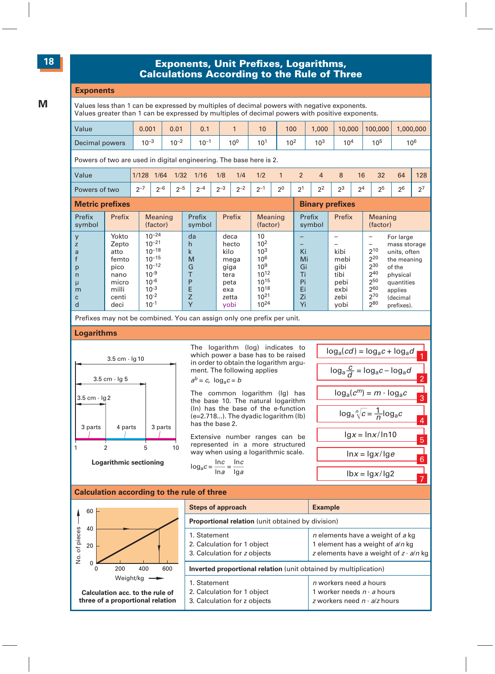#### **#### Exponents, Unit Prefi xes, Logarithms, Calculations According to the Rule of Three**

#### **Exponents**

Values less than 1 can be expressed by multiples of decimal powers with negative exponents. Values greater than 1 can be expressed by multiples of decimal powers with positive exponents.

| Value          | 0.001     | 0.01      | 0.1       |          | 10              | 100             | .000            | 10,000          | 100,000         | 1,000,000       |
|----------------|-----------|-----------|-----------|----------|-----------------|-----------------|-----------------|-----------------|-----------------|-----------------|
| Decimal powers | $10^{-3}$ | $10^{-2}$ | $10^{-7}$ | $10^{0}$ | 10 <sup>1</sup> | 10 <sup>2</sup> | 10 <sup>3</sup> | 10 <sup>4</sup> | 10 <sup>5</sup> | 10 <sup>6</sup> |

Powers of two are used in digital engineering. The base here is 2.

| Matric profives |         |         |         |             |         |         |         |    | <b>Rinary profivos</b> |             |                |                |    |    |     |
|-----------------|---------|---------|---------|-------------|---------|---------|---------|----|------------------------|-------------|----------------|----------------|----|----|-----|
| Powers of two   | $2 - 7$ | $n - 6$ | $2 - 5$ | $\sim$<br>∼ | $2 - 3$ | $2 - 2$ | $2 - 1$ | 20 | 21<br>∼                | $2^{\circ}$ | 2 <sub>3</sub> | 2 <sup>4</sup> | 25 | 26 |     |
| Value           | 1/128   | 1/64    | 1/32    | 1/16        | 1/8     | 1/4     | 1/2     |    |                        |             |                | 16             | 32 | 64 | 128 |

| <b>INIGHTY MIGHAGO</b>                                   |                                                                                    |                                                                                                                                     | <b>PRIMAL AND AND A</b>                                         |                                                                               |                                                                                                                           |                                              |                                                              |                                                                                                                                                                                                                            |
|----------------------------------------------------------|------------------------------------------------------------------------------------|-------------------------------------------------------------------------------------------------------------------------------------|-----------------------------------------------------------------|-------------------------------------------------------------------------------|---------------------------------------------------------------------------------------------------------------------------|----------------------------------------------|--------------------------------------------------------------|----------------------------------------------------------------------------------------------------------------------------------------------------------------------------------------------------------------------------|
| Prefix<br>symbol                                         | Prefix                                                                             | <b>Meaning</b><br>(factor)                                                                                                          | Prefix<br>symbol                                                | Prefix                                                                        | <b>Meaning</b><br>(factor)                                                                                                | Prefix<br>symbol                             | Prefix                                                       | <b>Meaning</b><br>(factor)                                                                                                                                                                                                 |
| y<br>z<br>a<br>p<br>n<br>$\mu$<br>m<br>$\mathbf{C}$<br>d | Yokto<br>Zepto<br>atto<br>femto<br>pico<br>nano<br>micro<br>milli<br>centi<br>deci | $10^{-24}$<br>$10^{-21}$<br>$10^{-18}$<br>$10^{-15}$<br>$10^{-12}$<br>$10^{-9}$<br>$10^{-6}$<br>$10^{-3}$<br>$10^{-2}$<br>$10^{-1}$ | da<br>h<br>$\mathsf k$<br>M<br>G<br>P<br>E<br>Z<br>$\checkmark$ | deca<br>hecto<br>kilo<br>mega<br>giga<br>tera<br>peta<br>exa<br>zetta<br>vobi | 10<br>10 <sup>2</sup><br>10 <sup>3</sup><br>106<br>10 <sup>9</sup><br>$10^{12}$<br>1015<br>1018<br>$10^{21}$<br>$10^{24}$ | Ki<br>Mi<br>Gi<br>Ti<br>Pi<br>Ei<br>Zi<br>Yi | kibi<br>mebi<br>gibi<br>tibi<br>pebi<br>exbi<br>zebi<br>yobi | For large<br>mass storage<br>$\overline{\phantom{m}}$<br>$2^{10}$<br>units, often<br>220<br>the meaning<br>230<br>of the<br>240<br>physical<br>250<br>quantities<br>260<br>applies<br>270<br>(decimal<br>280<br>prefixes). |
|                                                          |                                                                                    |                                                                                                                                     |                                                                 |                                                                               |                                                                                                                           |                                              |                                                              |                                                                                                                                                                                                                            |

Prefixes may not be combined. You can assign only one prefix per unit.

#### **Logarithms**



The logarithm (log) indicates to which power a base has to be raised in order to obtain the logarithm argument. The following applies

$$
a^b = c, \ \log_a c = b
$$

The common logarithm (lg) has the base 10. The natural logarithm (ln) has the base of the e-function (e=2.718...). The dyadic logarithm (lb) has the base 2.

Extensive number ranges can be represented in a more structured way when using a logarithmic scale.

 $\log_a c = \frac{\ln c}{\ln a} = \frac{\ln c}{\lg a}$ 



#### **Calculation according to the rule of three**

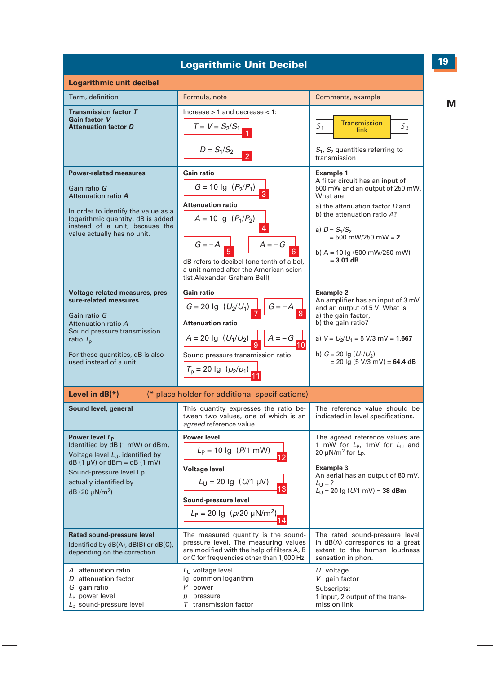#### **Logarithmic Unit Decibel**

| <b>Logarithmic unit decibel</b>                                                                                                                                                                                        |                                                                                                                                                                                                                                            |                                                                                                                                                                                                                                                               |
|------------------------------------------------------------------------------------------------------------------------------------------------------------------------------------------------------------------------|--------------------------------------------------------------------------------------------------------------------------------------------------------------------------------------------------------------------------------------------|---------------------------------------------------------------------------------------------------------------------------------------------------------------------------------------------------------------------------------------------------------------|
| Term, definition                                                                                                                                                                                                       | Formula, note                                                                                                                                                                                                                              | Comments, example                                                                                                                                                                                                                                             |
| <b>Transmission factor T</b><br>Gain factor V<br><b>Attenuation factor D</b>                                                                                                                                           | Increase $> 1$ and decrease $< 1$ :<br>$T = V = S_2/S_1$<br>$D = S_1/S_2$                                                                                                                                                                  | Transmission<br>$S_{1}$<br>S <sub>2</sub><br><b>link</b><br>$S_1$ , $S_2$ quantities referring to<br>transmission                                                                                                                                             |
| <b>Power-related measures</b><br>Gain ratio G<br>Attenuation ratio A<br>In order to identify the value as a<br>logarithmic quantity, dB is added<br>instead of a unit, because the<br>value actually has no unit.      | Gain ratio<br>$G = 10$ lg $(P_2/P_1)$<br><b>Attenuation ratio</b><br>$A = 10$ Ig $(P_1/P_2)$<br>$G = -A$<br>$A = -G$<br>dB refers to decibel (one tenth of a bel,<br>a unit named after the American scien-<br>tist Alexander Graham Bell) | Example 1:<br>A filter circuit has an input of<br>500 mW and an output of 250 mW.<br>What are<br>a) the attenuation factor D and<br>b) the attenuation ratio A?<br>a) $D = S_1/S_2$<br>$= 500$ mW/250 mW $= 2$<br>b) A = 10 lg (500 mW/250 mW)<br>$= 3.01$ dB |
| Voltage-related measures, pres-<br>sure-related measures<br>Gain ratio G<br>Attenuation ratio A<br>Sound pressure transmission<br>ratio $T_{\rm p}$<br>For these quantities, dB is also<br>used instead of a unit.     | Gain ratio<br>$G = 20$ lg $(U_2/U_1)$ $G = -A$<br><b>Attenuation ratio</b><br>$A = 20$ lg $(U_1/U_2)$ $Q$ $A = -G$<br>10 <sup>1</sup><br>Sound pressure transmission ratio<br>$T_p = 20$ lg $(p_2/p_1)$                                    | Example 2:<br>An amplifier has an input of 3 mV<br>and an output of 5 V. What is<br>a) the gain factor,<br>b) the gain ratio?<br>a) $V = U_2/U_1 = 5$ V/3 mV = <b>1,667</b><br>b) $G = 20$ lg $(U_1/U_2)$<br>$= 20$ lg (5 V/3 mV) = 64.4 dB                   |
| Level in $dB(*)$                                                                                                                                                                                                       | (* place holder for additional specifications)                                                                                                                                                                                             |                                                                                                                                                                                                                                                               |
| Sound level, general                                                                                                                                                                                                   | This quantity expresses the ratio be-<br>tween two values, one of which is an<br>agreed reference value.                                                                                                                                   | The reference value should be<br>indicated in level specifications.                                                                                                                                                                                           |
| Power level L <sub>p</sub><br>Identified by dB (1 mW) or dBm,<br>Voltage level $L_{11}$ , identified by<br>$dB(1 \mu V)$ or dBm = dB (1 mV)<br>Sound-pressure level Lp<br>actually identified by<br>$dB(20 \mu N/m^2)$ | <b>Power level</b><br>$L_P = 10$ Ig (P/1 mW)<br>12<br><b>Voltage level</b><br>$L_U = 20$ lg $(U/1 \mu V)$<br>Sound-pressure level<br>$L_P = 20$ lg ( $p/20$ $\mu$ N/m <sup>2</sup> )                                                       | The agreed reference values are<br>1 mW for $L_{\rm P}$ , 1mV for $L_{\rm U}$ and<br>20 $\mu$ N/m <sup>2</sup> for $L_{\rm P}$ .<br>Example 3:<br>An aerial has an output of 80 mV.<br>$L_{11} = ?$<br>$L_{\text{U}}$ = 20 lg (U/1 mV) = 38 dBm               |
| <b>Rated sound-pressure level</b><br>Identified by dB(A), dB(B) or dB(C),<br>depending on the correction                                                                                                               | The measured quantity is the sound-<br>pressure level. The measuring values<br>are modified with the help of filters A, B<br>or C for frequencies other than 1,000 Hz.                                                                     | The rated sound-pressure level<br>in dB(A) corresponds to a great<br>extent to the human loudness<br>sensation in phon.                                                                                                                                       |
| A attenuation ratio<br>D attenuation factor<br>G gain ratio<br>L <sub>p</sub> power level<br>$LD$ sound-pressure level                                                                                                 | $L_U$ voltage level<br>Ig common logarithm<br>P power<br>pressure<br>p<br>$T$ transmission factor                                                                                                                                          | $U$ voltage<br>V gain factor<br>Subscripts:<br>1 input, 2 output of the trans-<br>mission link                                                                                                                                                                |